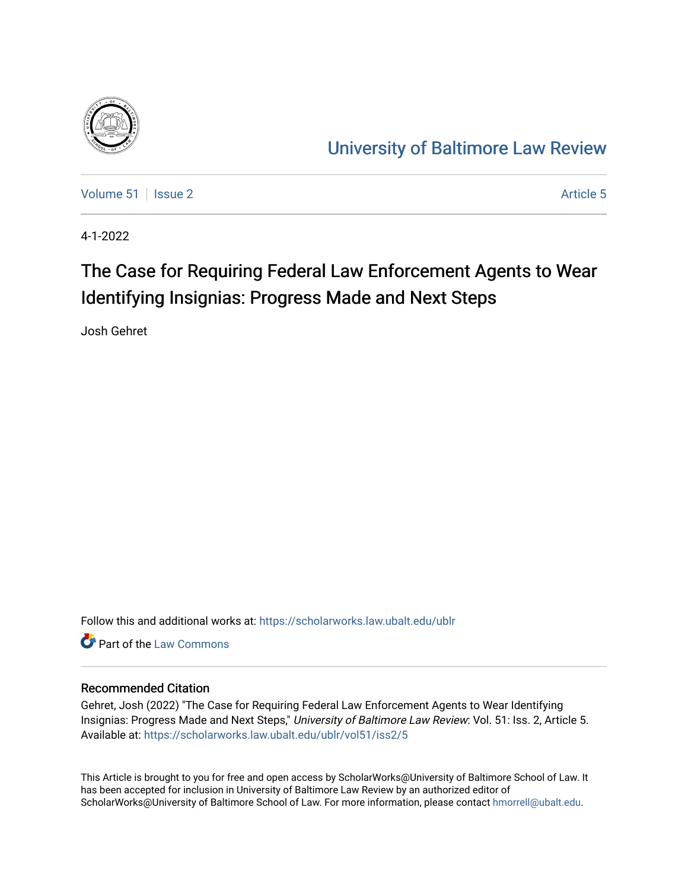

# [University of Baltimore Law Review](https://scholarworks.law.ubalt.edu/ublr)

[Volume 51](https://scholarworks.law.ubalt.edu/ublr/vol51) | [Issue 2](https://scholarworks.law.ubalt.edu/ublr/vol51/iss2) Article 5

4-1-2022

# The Case for Requiring Federal Law Enforcement Agents to Wear Identifying Insignias: Progress Made and Next Steps

Josh Gehret

Follow this and additional works at: [https://scholarworks.law.ubalt.edu/ublr](https://scholarworks.law.ubalt.edu/ublr?utm_source=scholarworks.law.ubalt.edu%2Fublr%2Fvol51%2Fiss2%2F5&utm_medium=PDF&utm_campaign=PDFCoverPages)

**C** Part of the [Law Commons](https://network.bepress.com/hgg/discipline/578?utm_source=scholarworks.law.ubalt.edu%2Fublr%2Fvol51%2Fiss2%2F5&utm_medium=PDF&utm_campaign=PDFCoverPages)

## Recommended Citation

Gehret, Josh (2022) "The Case for Requiring Federal Law Enforcement Agents to Wear Identifying Insignias: Progress Made and Next Steps," University of Baltimore Law Review: Vol. 51: Iss. 2, Article 5. Available at: [https://scholarworks.law.ubalt.edu/ublr/vol51/iss2/5](https://scholarworks.law.ubalt.edu/ublr/vol51/iss2/5?utm_source=scholarworks.law.ubalt.edu%2Fublr%2Fvol51%2Fiss2%2F5&utm_medium=PDF&utm_campaign=PDFCoverPages)

This Article is brought to you for free and open access by ScholarWorks@University of Baltimore School of Law. It has been accepted for inclusion in University of Baltimore Law Review by an authorized editor of ScholarWorks@University of Baltimore School of Law. For more information, please contact [hmorrell@ubalt.edu](mailto:hmorrell@ubalt.edu).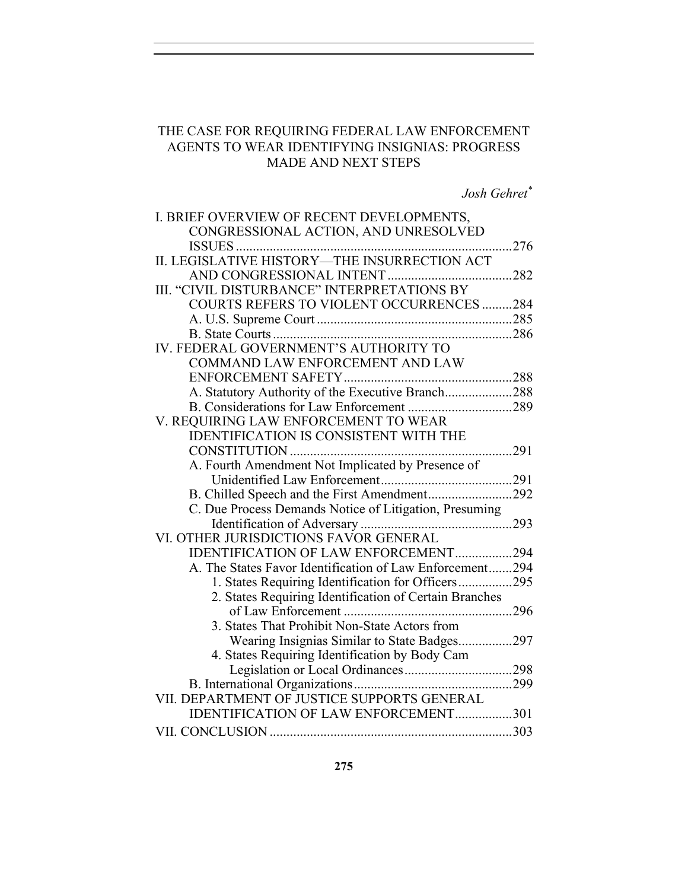## THE CASE FOR REQUIRING FEDERAL LAW ENFORCEMENT AGENTS TO WEAR IDENTIFYING INSIGNIAS: PROGRESS MADE AND NEXT STEPS

*Josh Gehret \**

| I. BRIEF OVERVIEW OF RECENT DEVELOPMENTS,                |     |
|----------------------------------------------------------|-----|
| CONGRESSIONAL ACTION, AND UNRESOLVED                     |     |
|                                                          | 276 |
|                                                          |     |
|                                                          |     |
| III. "CIVIL DISTURBANCE" INTERPRETATIONS BY              |     |
| <b>COURTS REFERS TO VIOLENT OCCURRENCES 284</b>          |     |
|                                                          |     |
|                                                          |     |
| IV. FEDERAL GOVERNMENT'S AUTHORITY TO                    |     |
| COMMAND LAW ENFORCEMENT AND LAW                          |     |
|                                                          |     |
| A. Statutory Authority of the Executive Branch288        |     |
|                                                          |     |
| V. REQUIRING LAW ENFORCEMENT TO WEAR                     |     |
| <b>IDENTIFICATION IS CONSISTENT WITH THE</b>             |     |
|                                                          |     |
| A. Fourth Amendment Not Implicated by Presence of        |     |
|                                                          |     |
| B. Chilled Speech and the First Amendment292             |     |
| C. Due Process Demands Notice of Litigation, Presuming   |     |
|                                                          |     |
| VI. OTHER JURISDICTIONS FAVOR GENERAL                    |     |
| <b>IDENTIFICATION OF LAW ENFORCEMENT294</b>              |     |
| A. The States Favor Identification of Law Enforcement294 |     |
| 1. States Requiring Identification for Officers295       |     |
| 2. States Requiring Identification of Certain Branches   |     |
|                                                          |     |
| 3. States That Prohibit Non-State Actors from            |     |
| Wearing Insignias Similar to State Badges297             |     |
| 4. States Requiring Identification by Body Cam           |     |
|                                                          |     |
|                                                          |     |
| VII. DEPARTMENT OF JUSTICE SUPPORTS GENERAL              |     |
| IDENTIFICATION OF LAW ENFORCEMENT301                     |     |
|                                                          |     |
|                                                          |     |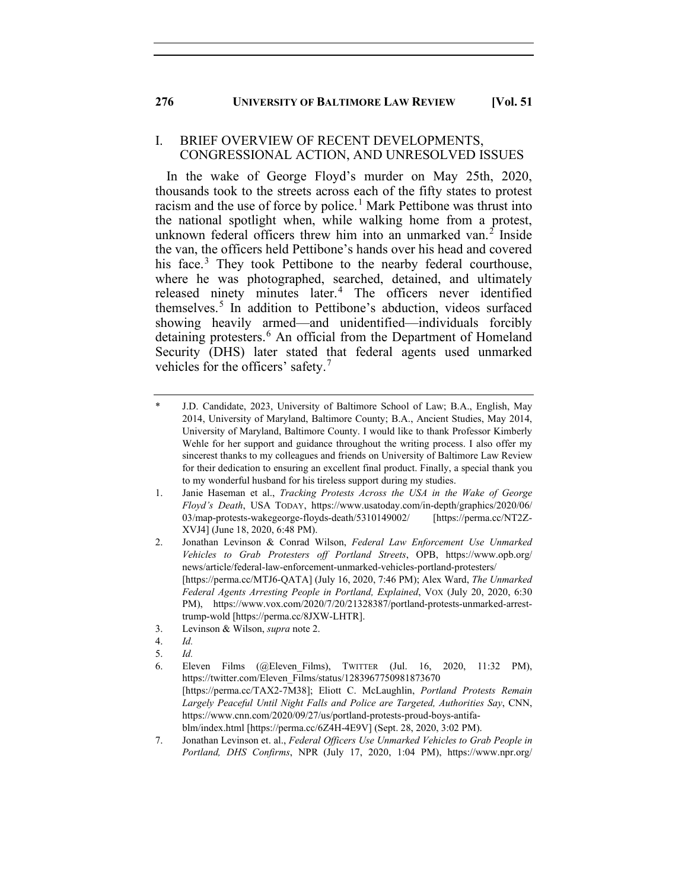## I. BRIEF OVERVIEW OF RECENT DEVELOPMENTS, CONGRESSIONAL ACTION, AND UNRESOLVED ISSUES

In the wake of George Floyd's murder on May 25th, 2020, thousands took to the streets across each of the fifty states to protest racism and the use of force by police.<sup>[1](#page-2-0)</sup> Mark Pettibone was thrust into the national spotlight when, while walking home from a protest, unknown federal officers threw him into an unmarked van.<sup>[2](#page-2-1)</sup> Inside the van, the officers held Pettibone's hands over his head and covered his face.<sup>[3](#page-2-2)</sup> They took Pettibone to the nearby federal courthouse, where he was photographed, searched, detained, and ultimately released ninety minutes later.<sup>[4](#page-2-3)</sup> The officers never identified themselves.[5](#page-2-4) In addition to Pettibone's abduction, videos surfaced showing heavily armed—and unidentified—individuals forcibly detaining protesters.<sup>[6](#page-2-5)</sup> An official from the Department of Homeland Security (DHS) later stated that federal agents used unmarked vehicles for the officers' safety.<sup>[7](#page-2-6)</sup>

<span id="page-2-2"></span>3. Levinson & Wilson, *supra* note 2.

<span id="page-2-0"></span>J.D. Candidate, 2023, University of Baltimore School of Law; B.A., English, May 2014, University of Maryland, Baltimore County; B.A., Ancient Studies, May 2014, University of Maryland, Baltimore County. I would like to thank Professor Kimberly Wehle for her support and guidance throughout the writing process. I also offer my sincerest thanks to my colleagues and friends on University of Baltimore Law Review for their dedication to ensuring an excellent final product. Finally, a special thank you to my wonderful husband for his tireless support during my studies.

<sup>1.</sup> Janie Haseman et al., *Tracking Protests Across the USA in the Wake of George Floyd's Death*, USA TODAY, https://www.usatoday.com/in-depth/graphics/2020/06/ 03/map-protests-wakegeorge-floyds-death/5310149002/ [https://perma.cc/NT2Z-XVJ4] (June 18, 2020, 6:48 PM).

<span id="page-2-1"></span><sup>2.</sup> Jonathan Levinson & Conrad Wilson, *Federal Law Enforcement Use Unmarked Vehicles to Grab Protesters off Portland Streets*, OPB, https://www.opb.org/ news/article/federal-law-enforcement-unmarked-vehicles-portland-protesters/ [https://perma.cc/MTJ6-QATA] (July 16, 2020, 7:46 PM); Alex Ward, *The Unmarked Federal Agents Arresting People in Portland, Explained*, VOX (July 20, 2020, 6:30 PM), https://www.vox.com/2020/7/20/21328387/portland-protests-unmarked-arresttrump-wold [https://perma.cc/8JXW-LHTR].

<span id="page-2-3"></span><sup>4.</sup> *Id.*

<span id="page-2-4"></span><sup>5.</sup> *Id.*

<span id="page-2-5"></span><sup>6.</sup> Eleven Films (@Eleven\_Films), TWITTER (Jul. 16, 2020, 11:32 PM), https://twitter.com/Eleven\_Films/status/1283967750981873670 [https://perma.cc/TAX2-7M38]; Eliott C. McLaughlin, *Portland Protests Remain Largely Peaceful Until Night Falls and Police are Targeted, Authorities Say*, CNN, https://www.cnn.com/2020/09/27/us/portland-protests-proud-boys-antifablm/index.html [https://perma.cc/6Z4H-4E9V] (Sept. 28, 2020, 3:02 PM).

<span id="page-2-6"></span><sup>7.</sup> Jonathan Levinson et. al., *Federal Officers Use Unmarked Vehicles to Grab People in Portland, DHS Confirms*, NPR (July 17, 2020, 1:04 PM), https://www.npr.org/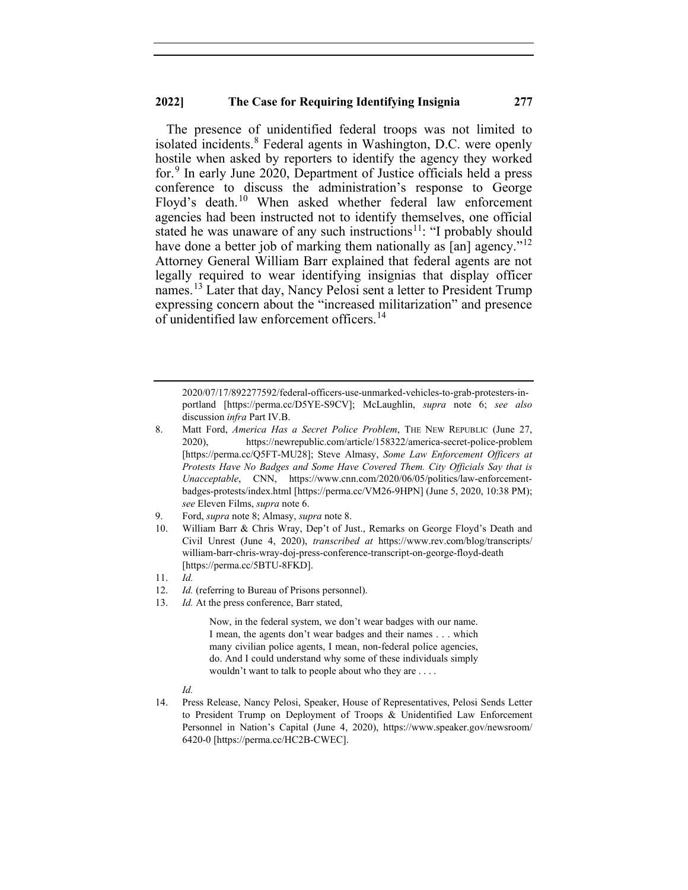The presence of unidentified federal troops was not limited to isolated incidents.<sup>[8](#page-3-0)</sup> Federal agents in Washington, D.C. were openly hostile when asked by reporters to identify the agency they worked for.[9](#page-3-1) In early June 2020, Department of Justice officials held a press conference to discuss the administration's response to George Floyd's death.<sup>[10](#page-3-2)</sup> When asked whether federal law enforcement agencies had been instructed not to identify themselves, one official stated he was unaware of any such instructions<sup>11</sup>: "I probably should have done a better job of marking them nationally as  $\lceil \text{an} \rceil$  agency."<sup>[12](#page-3-4)</sup> Attorney General William Barr explained that federal agents are not legally required to wear identifying insignias that display officer names.<sup>[13](#page-3-5)</sup> Later that day, Nancy Pelosi sent a letter to President Trump expressing concern about the "increased militarization" and presence of unidentified law enforcement officers.<sup>[14](#page-3-6)</sup>

- <span id="page-3-2"></span><span id="page-3-1"></span>9. Ford, *supra* note 8; Almasy, *supra* note 8.
- 10. William Barr & Chris Wray, Dep't of Just., Remarks on George Floyd's Death and Civil Unrest (June 4, 2020), *transcribed at* https://www.rev.com/blog/transcripts/ william-barr-chris-wray-doj-press-conference-transcript-on-george-floyd-death [https://perma.cc/5BTU-8FKD].
- <span id="page-3-3"></span>11. *Id.*
- 12. *Id.* (referring to Bureau of Prisons personnel).
- <span id="page-3-5"></span><span id="page-3-4"></span>13. *Id.* At the press conference, Barr stated,

Now, in the federal system, we don't wear badges with our name. I mean, the agents don't wear badges and their names . . . which many civilian police agents, I mean, non-federal police agencies, do. And I could understand why some of these individuals simply wouldn't want to talk to people about who they are . . . .

*Id.*

<sup>2020/07/17/892277592/</sup>federal-officers-use-unmarked-vehicles-to-grab-protesters-inportland [https://perma.cc/D5YE-S9CV]; McLaughlin, *supra* note 6; *see also* discussion *infra* Part IV.B.

<span id="page-3-0"></span><sup>8.</sup> Matt Ford, *America Has a Secret Police Problem*, THE NEW REPUBLIC (June 27, 2020), https://newrepublic.com/article/158322/america-secret-police-problem [https://perma.cc/Q5FT-MU28]; Steve Almasy, *Some Law Enforcement Officers at Protests Have No Badges and Some Have Covered Them. City Officials Say that is Unacceptable*, CNN, https://www.cnn.com/2020/06/05/politics/law-enforcementbadges-protests/index.html [https://perma.cc/VM26-9HPN] (June 5, 2020, 10:38 PM); *see* Eleven Films, *supra* note 6.

<span id="page-3-6"></span><sup>14.</sup> Press Release, Nancy Pelosi, Speaker, House of Representatives, Pelosi Sends Letter to President Trump on Deployment of Troops & Unidentified Law Enforcement Personnel in Nation's Capital (June 4, 2020), https://www.speaker.gov/newsroom/ 6420-0 [https://perma.cc/HC2B-CWEC].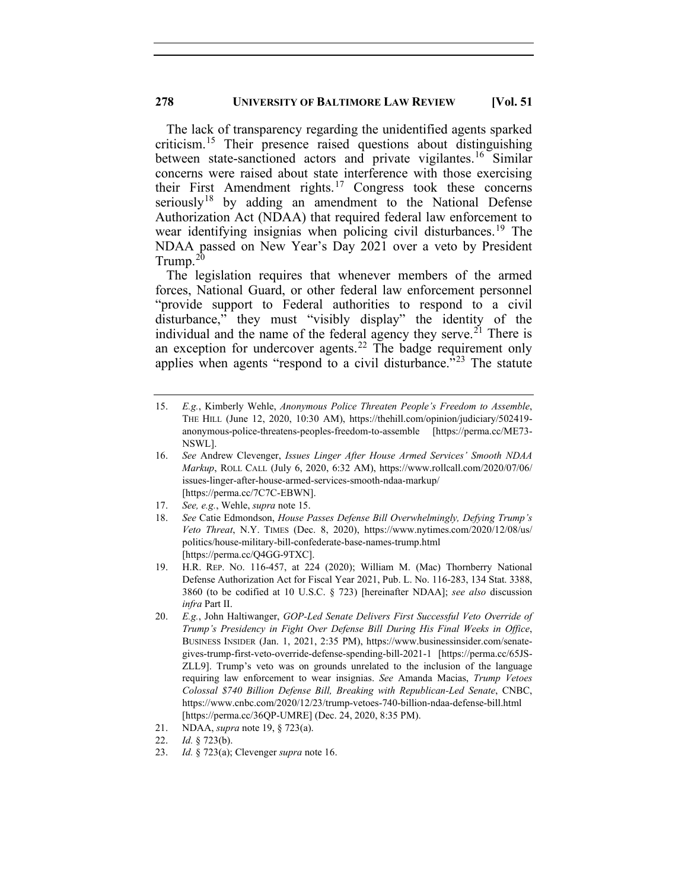The lack of transparency regarding the unidentified agents sparked criticism.[15](#page-4-0) Their presence raised questions about distinguishing between state-sanctioned actors and private vigilantes.<sup>[16](#page-4-1)</sup> Similar concerns were raised about state interference with those exercising their First Amendment rights.<sup>[17](#page-4-2)</sup> Congress took these concerns seriously<sup>[18](#page-4-3)</sup> by adding an amendment to the National Defense Authorization Act (NDAA) that required federal law enforcement to wear identifying insignias when policing civil disturbances.<sup>[19](#page-4-4)</sup> The NDAA passed on New Year's Day 2021 over a veto by President Trump.[20](#page-4-5)

The legislation requires that whenever members of the armed forces, National Guard, or other federal law enforcement personnel "provide support to Federal authorities to respond to a civil disturbance," they must "visibly display" the identity of the individual and the name of the federal agency they serve.<sup>[21](#page-4-6)</sup> There is an exception for undercover agents.<sup>[22](#page-4-7)</sup> The badge requirement only applies when agents "respond to a civil disturbance."<sup>[23](#page-4-8)</sup> The statute

- 17. *See, e.g.*, Wehle, *supra* note 15.
- <span id="page-4-3"></span><span id="page-4-2"></span>18. *See* Catie Edmondson, *House Passes Defense Bill Overwhelmingly, Defying Trump's Veto Threat*, N.Y. TIMES (Dec. 8, 2020), https://www.nytimes.com/2020/12/08/us/ politics/house-military-bill-confederate-base-names-trump.html [https://perma.cc/Q4GG-9TXC].
- <span id="page-4-4"></span>19. H.R. REP. NO. 116-457, at 224 (2020); William M. (Mac) Thornberry National Defense Authorization Act for Fiscal Year 2021, Pub. L. No. 116-283, 134 Stat. 3388, 3860 (to be codified at 10 U.S.C. § 723) [hereinafter NDAA]; *see also* discussion *infra* Part II.
- <span id="page-4-5"></span>20. *E.g.*, John Haltiwanger, *GOP-Led Senate Delivers First Successful Veto Override of Trump's Presidency in Fight Over Defense Bill During His Final Weeks in Office*, BUSINESS INSIDER (Jan. 1, 2021, 2:35 PM), https://www.businessinsider.com/senategives-trump-first-veto-override-defense-spending-bill-2021-1 [https://perma.cc/65JS-ZLL9]. Trump's veto was on grounds unrelated to the inclusion of the language requiring law enforcement to wear insignias. *See* Amanda Macias, *Trump Vetoes Colossal \$740 Billion Defense Bill, Breaking with Republican-Led Senate*, CNBC, https://www.cnbc.com/2020/12/23/trump-vetoes-740-billion-ndaa-defense-bill.html [https://perma.cc/36QP-UMRE] (Dec. 24, 2020, 8:35 PM).
- <span id="page-4-6"></span>21. NDAA, *supra* note 19, § 723(a).
- 22. *Id.* § 723(b).
- <span id="page-4-8"></span><span id="page-4-7"></span>23. *Id.* § 723(a); Clevenger *supra* note 16.

<span id="page-4-0"></span><sup>15.</sup> *E.g.*, Kimberly Wehle, *Anonymous Police Threaten People's Freedom to Assemble*, THE HILL (June 12, 2020, 10:30 AM), https://thehill.com/opinion/judiciary/502419 anonymous-police-threatens-peoples-freedom-to-assemble [https://perma.cc/ME73- NSWL].

<span id="page-4-1"></span><sup>16.</sup> *See* Andrew Clevenger, *Issues Linger After House Armed Services' Smooth NDAA Markup*, ROLL CALL (July 6, 2020, 6:32 AM), https://www.rollcall.com/2020/07/06/ issues-linger-after-house-armed-services-smooth-ndaa-markup/ [https://perma.cc/7C7C-EBWN].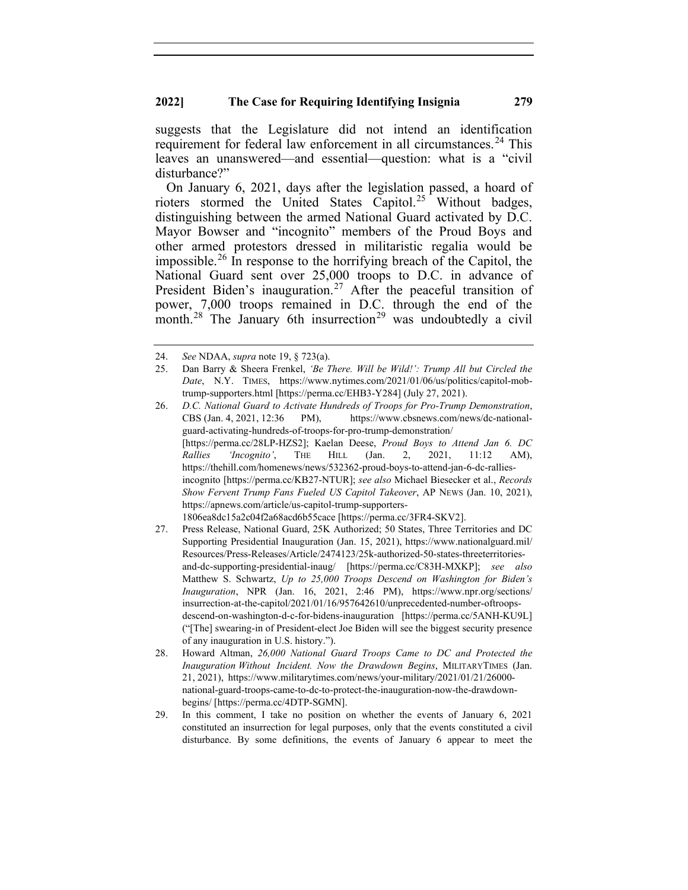suggests that the Legislature did not intend an identification requirement for federal law enforcement in all circumstances.<sup>[24](#page-5-0)</sup> This leaves an unanswered—and essential—question: what is a "civil disturbance?"

On January 6, 2021, days after the legislation passed, a hoard of rioters stormed the United States Capitol.<sup>[25](#page-5-1)</sup> Without badges, distinguishing between the armed National Guard activated by D.C. Mayor Bowser and "incognito" members of the Proud Boys and other armed protestors dressed in militaristic regalia would be impossible.<sup>[26](#page-5-2)</sup> In response to the horrifying breach of the Capitol, the National Guard sent over 25,000 troops to D.C. in advance of President Biden's inauguration.<sup>[27](#page-5-3)</sup> After the peaceful transition of power, 7,000 troops remained in D.C. through the end of the month.<sup>[28](#page-5-4)</sup> The January 6th insurrection<sup>[29](#page-5-5)</sup> was undoubtedly a civil

<span id="page-5-3"></span>27. Press Release, National Guard, 25K Authorized; 50 States, Three Territories and DC Supporting Presidential Inauguration (Jan. 15, 2021), https://www.nationalguard.mil/ Resources/Press-Releases/Article/2474123/25k-authorized-50-states-threeterritoriesand-dc-supporting-presidential-inaug/ [https://perma.cc/C83H-MXKP]; *see also*  Matthew S. Schwartz, *Up to 25,000 Troops Descend on Washington for Biden's Inauguration*, NPR (Jan. 16, 2021, 2:46 PM), https://www.npr.org/sections/ insurrection-at-the-capitol/2021/01/16/957642610/unprecedented-number-oftroopsdescend-on-washington-d-c-for-bidens-inauguration [https://perma.cc/5ANH-KU9L] ("[The] swearing-in of President-elect Joe Biden will see the biggest security presence of any inauguration in U.S. history.").

<span id="page-5-0"></span><sup>24.</sup> *See* NDAA, *supra* note 19, § 723(a).

<span id="page-5-1"></span><sup>25.</sup> Dan Barry & Sheera Frenkel, *'Be There. Will be Wild!': Trump All but Circled the Date*, N.Y. TIMES, https://www.nytimes.com/2021/01/06/us/politics/capitol-mobtrump-supporters.html [https://perma.cc/EHB3-Y284] (July 27, 2021).

<span id="page-5-2"></span><sup>26.</sup> *D.C. National Guard to Activate Hundreds of Troops for Pro-Trump Demonstration*, CBS (Jan. 4, 2021, 12:36 PM), https://www.cbsnews.com/news/dc-nationalguard-activating-hundreds-of-troops-for-pro-trump-demonstration/ [https://perma.cc/28LP-HZS2]; Kaelan Deese, *Proud Boys to Attend Jan 6. DC Rallies 'Incognito'*, THE HILL (Jan. 2, 2021, 11:12 AM), https://thehill.com/homenews/news/532362-proud-boys-to-attend-jan-6-dc-ralliesincognito [https://perma.cc/KB27-NTUR]; *see also* Michael Biesecker et al., *Records Show Fervent Trump Fans Fueled US Capitol Takeover*, AP NEWS (Jan. 10, 2021), https://apnews.com/article/us-capitol-trump-supporters-1806ea8dc15a2c04f2a68acd6b55cace [https://perma.cc/3FR4-SKV2].

<span id="page-5-4"></span><sup>28.</sup> Howard Altman, *26,000 National Guard Troops Came to DC and Protected the Inauguration Without Incident. Now the Drawdown Begins*, MILITARYTIMES (Jan. 21, 2021), https://www.militarytimes.com/news/your-military/2021/01/21/26000 national-guard-troops-came-to-dc-to-protect-the-inauguration-now-the-drawdownbegins/ [https://perma.cc/4DTP-SGMN].

<span id="page-5-5"></span><sup>29.</sup> In this comment, I take no position on whether the events of January 6, 2021 constituted an insurrection for legal purposes, only that the events constituted a civil disturbance. By some definitions, the events of January 6 appear to meet the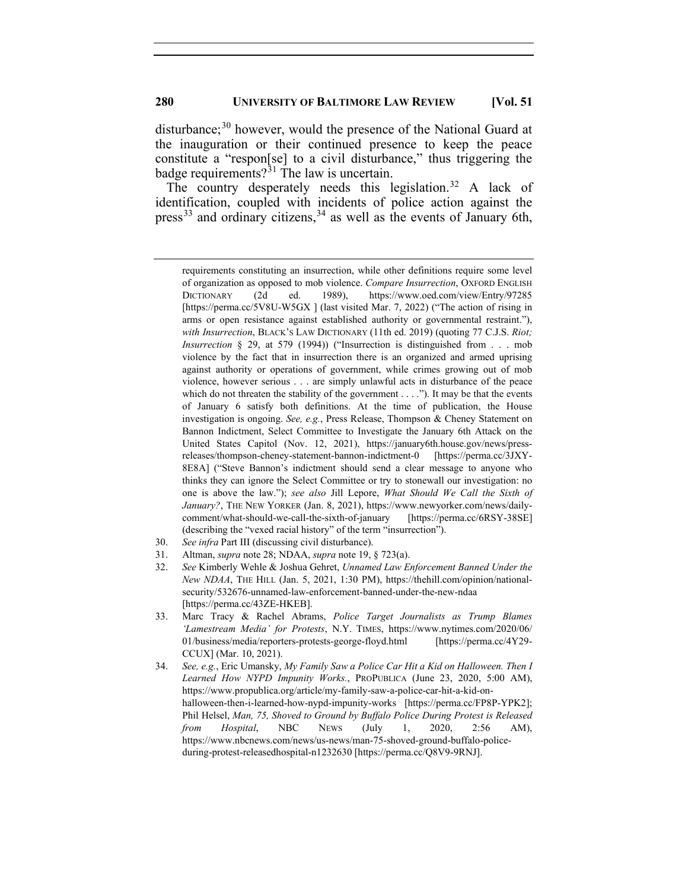disturbance; $30$  however, would the presence of the National Guard at the inauguration or their continued presence to keep the peace constitute a "respon[se] to a civil disturbance," thus triggering the badge requirements? $31$  The law is uncertain.

The country desperately needs this legislation.<sup>[32](#page-6-2)</sup> A lack of identification, coupled with incidents of police action against the press<sup>[33](#page-6-3)</sup> and ordinary citizens,  $34$  as well as the events of January 6th,

- <span id="page-6-0"></span>30. *See infra* Part III (discussing civil disturbance).
- <span id="page-6-1"></span>31. Altman, *supra* note 28; NDAA, *supra* note 19, § 723(a).

- <span id="page-6-3"></span>33. Marc Tracy & Rachel Abrams, *Police Target Journalists as Trump Blames 'Lamestream Media' for Protests*, N.Y. TIMES, https://www.nytimes.com/2020/06/ 01/business/media/reporters-protests-george-floyd.html [https://perma.cc/4Y29- CCUX] (Mar. 10, 2021).
- <span id="page-6-4"></span>34. *See, e.g.*, Eric Umansky, *My Family Saw a Police Car Hit a Kid on Halloween. Then I Learned How NYPD Impunity Works.*, PROPUBLICA (June 23, 2020, 5:00 AM), https://www.propublica.org/article/my-family-saw-a-police-car-hit-a-kid-onhalloween-then-i-learned-how-nypd-impunity-works [https://perma.cc/FP8P-YPK2]; Phil Helsel, *Man, 75, Shoved to Ground by Buffalo Police During Protest is Released from Hospital*, NBC NEWS (July 1, 2020, 2:56 AM), https://www.nbcnews.com/news/us-news/man-75-shoved-ground-buffalo-policeduring-protest-releasedhospital-n1232630 [https://perma.cc/Q8V9-9RNJ].

requirements constituting an insurrection, while other definitions require some level of organization as opposed to mob violence. *Compare Insurrection*, OXFORD ENGLISH DICTIONARY (2d ed. 1989), https://www.oed.com/view/Entry/97285 [https://perma.cc/5V8U-W5GX ] (last visited Mar. 7, 2022) ("The action of rising in arms or open resistance against established authority or governmental restraint."), *with Insurrection*, BLACK'S LAW DICTIONARY (11th ed. 2019) (quoting 77 C.J.S. *Riot; Insurrection* § 29, at 579 (1994)) ("Insurrection is distinguished from . . . mob violence by the fact that in insurrection there is an organized and armed uprising against authority or operations of government, while crimes growing out of mob violence, however serious . . . are simply unlawful acts in disturbance of the peace which do not threaten the stability of the government  $\dots$ ."). It may be that the events of January 6 satisfy both definitions. At the time of publication, the House investigation is ongoing. *See, e.g.*, Press Release, Thompson & Cheney Statement on Bannon Indictment, Select Committee to Investigate the January 6th Attack on the United States Capitol (Nov. 12, 2021), https://january6th.house.gov/news/pressreleases/thompson-cheney-statement-bannon-indictment-0 [https://perma.cc/3JXY-8E8A] ("Steve Bannon's indictment should send a clear message to anyone who thinks they can ignore the Select Committee or try to stonewall our investigation: no one is above the law."); *see also* Jill Lepore, *What Should We Call the Sixth of January?*, THE NEW YORKER (Jan. 8, 2021), https://www.newyorker.com/news/dailycomment/what-should-we-call-the-sixth-of-january [https://perma.cc/6RSY-38SE] (describing the "vexed racial history" of the term "insurrection").

<span id="page-6-2"></span><sup>32.</sup> *See* Kimberly Wehle & Joshua Gehret, *Unnamed Law Enforcement Banned Under the New NDAA*, THE HILL (Jan. 5, 2021, 1:30 PM), https://thehill.com/opinion/nationalsecurity/532676-unnamed-law-enforcement-banned-under-the-new-ndaa [https://perma.cc/43ZE-HKEB].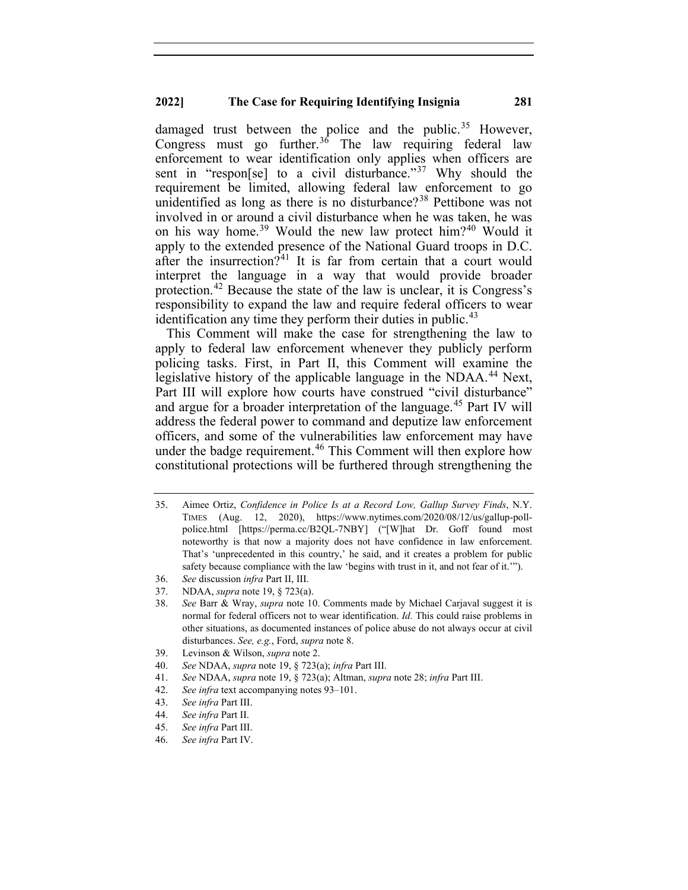damaged trust between the police and the public.<sup>[35](#page-7-0)</sup> However, Congress must go further.<sup>[36](#page-7-1)</sup> The law requiring federal law enforcement to wear identification only applies when officers are sent in "respon[se] to a civil disturbance."<sup>[37](#page-7-2)</sup> Why should the requirement be limited, allowing federal law enforcement to go unidentified as long as there is no disturbance?<sup>[38](#page-7-3)</sup> Pettibone was not involved in or around a civil disturbance when he was taken, he was on his way home.<sup>[39](#page-7-4)</sup> Would the new law protect him?<sup>[40](#page-7-5)</sup> Would it apply to the extended presence of the National Guard troops in D.C. after the insurrection?<sup>[41](#page-7-6)</sup> It is far from certain that a court would interpret the language in a way that would provide broader protection.[42](#page-7-7) Because the state of the law is unclear, it is Congress's responsibility to expand the law and require federal officers to wear identification any time they perform their duties in public.<sup>[43](#page-7-8)</sup>

This Comment will make the case for strengthening the law to apply to federal law enforcement whenever they publicly perform policing tasks. First, in Part II, this Comment will examine the legislative history of the applicable language in the NDAA.<sup>[44](#page-7-9)</sup> Next, Part III will explore how courts have construed "civil disturbance" and argue for a broader interpretation of the language.<sup>[45](#page-7-10)</sup> Part IV will address the federal power to command and deputize law enforcement officers, and some of the vulnerabilities law enforcement may have under the badge requirement.<sup>[46](#page-7-11)</sup> This Comment will then explore how constitutional protections will be furthered through strengthening the

<span id="page-7-0"></span>35. Aimee Ortiz, *Confidence in Police Is at a Record Low, Gallup Survey Finds*, N.Y. TIMES (Aug. 12, 2020), https://www.nytimes.com/2020/08/12/us/gallup-pollpolice.html [https://perma.cc/B2QL-7NBY] ("[W]hat Dr. Goff found most noteworthy is that now a majority does not have confidence in law enforcement. That's 'unprecedented in this country,' he said, and it creates a problem for public safety because compliance with the law 'begins with trust in it, and not fear of it.'").

- <span id="page-7-5"></span>40. *See* NDAA, *supra* note 19, § 723(a); *infra* Part III.
- <span id="page-7-6"></span>41. *See* NDAA, *supra* note 19, § 723(a); Altman, *supra* note 28; *infra* Part III.
- 42. *See infra* text accompanying notes 93–101.
- <span id="page-7-9"></span><span id="page-7-8"></span><span id="page-7-7"></span>43. *See infra* Part III.
- 44. *See infra* Part II.
- <span id="page-7-10"></span>45. *See infra* Part III.
- <span id="page-7-11"></span>46. *See infra* Part IV.

<span id="page-7-1"></span><sup>36.</sup> *See* discussion *infra* Part II, III.

<span id="page-7-2"></span><sup>37.</sup> NDAA, *supra* note 19, § 723(a).

<span id="page-7-3"></span><sup>38.</sup> *See* Barr & Wray, *supra* note 10. Comments made by Michael Carjaval suggest it is normal for federal officers not to wear identification. *Id.* This could raise problems in other situations, as documented instances of police abuse do not always occur at civil disturbances. *See, e.g.*, Ford, *supra* note 8.

<span id="page-7-4"></span><sup>39.</sup> Levinson & Wilson, *supra* note 2.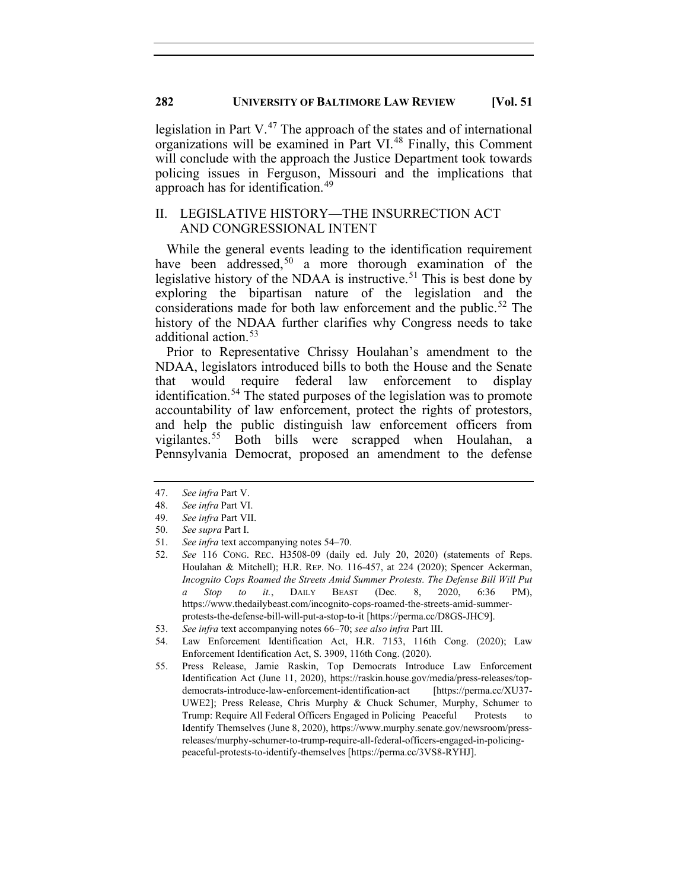legislation in Part  $V^{47}$  $V^{47}$  $V^{47}$ . The approach of the states and of international organizations will be examined in Part VI.[48](#page-8-1) Finally, this Comment will conclude with the approach the Justice Department took towards policing issues in Ferguson, Missouri and the implications that approach has for identification.<sup>[49](#page-8-2)</sup>

## II. LEGISLATIVE HISTORY—THE INSURRECTION ACT AND CONGRESSIONAL INTENT

While the general events leading to the identification requirement have been addressed,<sup>[50](#page-8-3)</sup> a more thorough examination of the legislative history of the NDAA is instructive.<sup>[51](#page-8-4)</sup> This is best done by exploring the bipartisan nature of the legislation and the considerations made for both law enforcement and the public.<sup>[52](#page-8-5)</sup> The history of the NDAA further clarifies why Congress needs to take additional action. [53](#page-8-6)

Prior to Representative Chrissy Houlahan's amendment to the NDAA, legislators introduced bills to both the House and the Senate that would require federal law enforcement to display identification.<sup>[54](#page-8-7)</sup> The stated purposes of the legislation was to promote accountability of law enforcement, protect the rights of protestors, and help the public distinguish law enforcement officers from vigilantes.[55](#page-8-8) Both bills were scrapped when Houlahan, a Pennsylvania Democrat, proposed an amendment to the defense

- 50. *See supra* Part I.
- <span id="page-8-5"></span><span id="page-8-4"></span>51. *See infra* text accompanying notes 54–70.
- 52. *See* 116 CONG. REC. H3508-09 (daily ed. July 20, 2020) (statements of Reps. Houlahan & Mitchell); H.R. REP. NO. 116-457, at 224 (2020); Spencer Ackerman, *Incognito Cops Roamed the Streets Amid Summer Protests. The Defense Bill Will Put a Stop to it.*, DAILY BEAST (Dec. 8, 2020, 6:36 PM), https://www.thedailybeast.com/incognito-cops-roamed-the-streets-amid-summerprotests-the-defense-bill-will-put-a-stop-to-it [https://perma.cc/D8GS-JHC9].
- 53. *See infra* text accompanying notes 66–70; *see also infra* Part III.
- <span id="page-8-7"></span><span id="page-8-6"></span>54. Law Enforcement Identification Act, H.R. 7153, 116th Cong. (2020); Law Enforcement Identification Act, S. 3909, 116th Cong. (2020).
- <span id="page-8-8"></span>55. Press Release, Jamie Raskin, Top Democrats Introduce Law Enforcement Identification Act (June 11, 2020), https://raskin.house.gov/media/press-releases/topdemocrats-introduce-law-enforcement-identification-act [https://perma.cc/XU37- UWE2]; Press Release, Chris Murphy & Chuck Schumer, Murphy, Schumer to Trump: Require All Federal Officers Engaged in Policing Peaceful Protests to Identify Themselves (June 8, 2020), https://www.murphy.senate.gov/newsroom/pressreleases/murphy-schumer-to-trump-require-all-federal-officers-engaged-in-policingpeaceful-protests-to-identify-themselves [https://perma.cc/3VS8-RYHJ].

<span id="page-8-0"></span><sup>47.</sup> *See infra* Part V.

<span id="page-8-1"></span><sup>48.</sup> *See infra* Part VI.

<span id="page-8-3"></span><span id="page-8-2"></span><sup>49.</sup> *See infra* Part VII.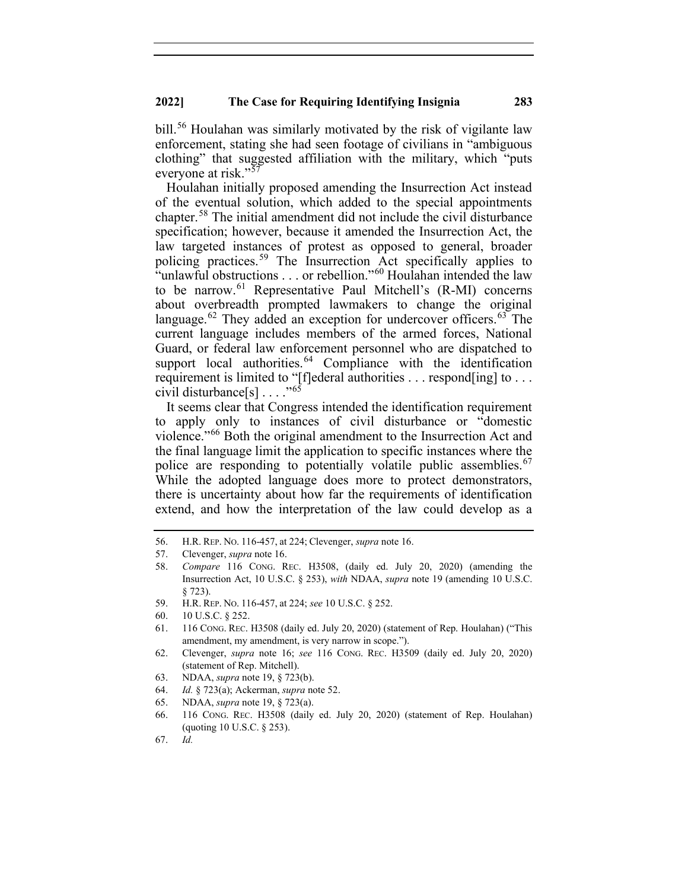bill.<sup>[56](#page-9-0)</sup> Houlahan was similarly motivated by the risk of vigilante law enforcement, stating she had seen footage of civilians in "ambiguous clothing" that suggested affiliation with the military, which "puts everyone at risk."<sup>[57](#page-9-1)</sup>

Houlahan initially proposed amending the Insurrection Act instead of the eventual solution, which added to the special appointments chapter.[58](#page-9-2) The initial amendment did not include the civil disturbance specification; however, because it amended the Insurrection Act, the law targeted instances of protest as opposed to general, broader policing practices. [59](#page-9-3) The Insurrection Act specifically applies to "unlawful obstructions . . . or rebellion."<sup>[60](#page-9-4)</sup> Houlahan intended the law to be narrow.<sup>[61](#page-9-5)</sup> Representative Paul Mitchell's (R-MI) concerns about overbreadth prompted lawmakers to change the original language.<sup>[62](#page-9-6)</sup> They added an exception for undercover officers.<sup>[63](#page-9-7)</sup> The current language includes members of the armed forces, National Guard, or federal law enforcement personnel who are dispatched to support local authorities.<sup>[64](#page-9-8)</sup> Compliance with the identification requirement is limited to "[f]ederal authorities . . . respond[ing] to . . . civil disturbance $[s] \ldots$ ."<sup>[65](#page-9-9)</sup>

It seems clear that Congress intended the identification requirement to apply only to instances of civil disturbance or "domestic violence."<sup>[66](#page-9-10)</sup> Both the original amendment to the Insurrection Act and the final language limit the application to specific instances where the police are responding to potentially volatile public assemblies.<sup>[67](#page-9-11)</sup> While the adopted language does more to protect demonstrators, there is uncertainty about how far the requirements of identification extend, and how the interpretation of the law could develop as a

59. H.R. REP. NO. 116-457, at 224; *see* 10 U.S.C. § 252.

- <span id="page-9-7"></span>63. NDAA, *supra* note 19, § 723(b).
- <span id="page-9-8"></span>64. *Id.* § 723(a); Ackerman, *supra* note 52.
- <span id="page-9-10"></span><span id="page-9-9"></span>65. NDAA, *supra* note 19, § 723(a).
- 66. 116 CONG. REC. H3508 (daily ed. July 20, 2020) (statement of Rep. Houlahan) (quoting 10 U.S.C. § 253).

<span id="page-9-0"></span><sup>56.</sup> H.R. REP. NO. 116-457, at 224; Clevenger, *supra* note 16.

<span id="page-9-1"></span><sup>57.</sup> Clevenger, *supra* note 16.

<span id="page-9-2"></span><sup>58.</sup> *Compare* 116 CONG. REC. H3508, (daily ed. July 20, 2020) (amending the Insurrection Act, 10 U.S.C. § 253), *with* NDAA, *supra* note 19 (amending 10 U.S.C. § 723).

<span id="page-9-4"></span><span id="page-9-3"></span><sup>60.</sup> 10 U.S.C. § 252.

<span id="page-9-5"></span><sup>61.</sup> 116 CONG. REC. H3508 (daily ed. July 20, 2020) (statement of Rep. Houlahan) ("This amendment, my amendment, is very narrow in scope.").

<span id="page-9-6"></span><sup>62.</sup> Clevenger, *supra* note 16; *see* 116 CONG. REC. H3509 (daily ed. July 20, 2020) (statement of Rep. Mitchell).

<span id="page-9-11"></span><sup>67.</sup> *Id.*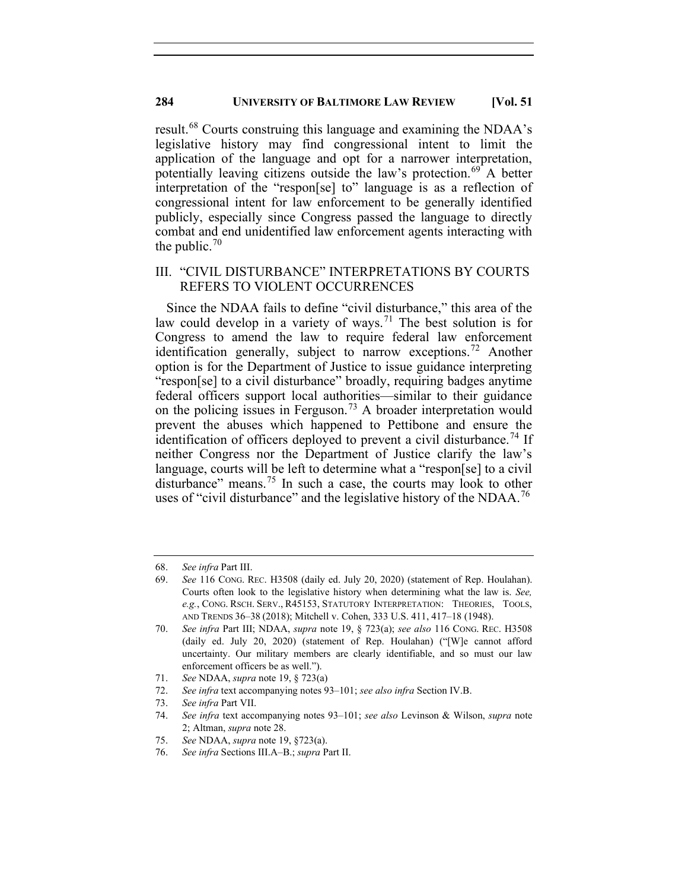result.<sup>[68](#page-10-0)</sup> Courts construing this language and examining the NDAA's legislative history may find congressional intent to limit the application of the language and opt for a narrower interpretation, potentially leaving citizens outside the law's protection.<sup>[69](#page-10-1)</sup> A better interpretation of the "respon[se] to" language is as a reflection of congressional intent for law enforcement to be generally identified publicly, especially since Congress passed the language to directly combat and end unidentified law enforcement agents interacting with the public.<sup>[70](#page-10-2)</sup>

## III. "CIVIL DISTURBANCE" INTERPRETATIONS BY COURTS REFERS TO VIOLENT OCCURRENCES

Since the NDAA fails to define "civil disturbance," this area of the law could develop in a variety of ways.<sup>[71](#page-10-3)</sup> The best solution is for Congress to amend the law to require federal law enforcement identification generally, subject to narrow exceptions.<sup>[72](#page-10-4)</sup> Another option is for the Department of Justice to issue guidance interpreting "respon[se] to a civil disturbance" broadly, requiring badges anytime federal officers support local authorities—similar to their guidance on the policing issues in Ferguson.<sup>[73](#page-10-5)</sup> A broader interpretation would prevent the abuses which happened to Pettibone and ensure the identification of officers deployed to prevent a civil disturbance.<sup>[74](#page-10-6)</sup> If neither Congress nor the Department of Justice clarify the law's language, courts will be left to determine what a "respon[se] to a civil disturbance" means. [75](#page-10-7) In such a case, the courts may look to other uses of "civil disturbance" and the legislative history of the NDAA.<sup>[76](#page-10-8)</sup>

<span id="page-10-0"></span><sup>68.</sup> *See infra* Part III.

<span id="page-10-1"></span><sup>69.</sup> *See* 116 CONG. REC. H3508 (daily ed. July 20, 2020) (statement of Rep. Houlahan). Courts often look to the legislative history when determining what the law is. *See, e.g.*, CONG. RSCH. SERV., R45153, STATUTORY INTERPRETATION: THEORIES, TOOLS, AND TRENDS 36–38 (2018); Mitchell v. Cohen, 333 U.S. 411, 417–18 (1948).

<span id="page-10-2"></span><sup>70.</sup> *See infra* Part III; NDAA, *supra* note 19, § 723(a); *see also* 116 CONG. REC. H3508 (daily ed. July 20, 2020) (statement of Rep. Houlahan) ("[W]e cannot afford uncertainty. Our military members are clearly identifiable, and so must our law enforcement officers be as well.").

<span id="page-10-3"></span><sup>71.</sup> *See* NDAA, *supra* note 19, § 723(a)

<span id="page-10-4"></span><sup>72.</sup> *See infra* text accompanying notes 93–101; *see also infra* Section IV.B.

<span id="page-10-5"></span><sup>73.</sup> *See infra* Part VII.

<span id="page-10-6"></span><sup>74.</sup> *See infra* text accompanying notes 93–101; *see also* Levinson & Wilson, *supra* note 2; Altman, *supra* note 28.

<sup>75.</sup> *See* NDAA, *supra* note 19, §723(a).

<span id="page-10-8"></span><span id="page-10-7"></span><sup>76.</sup> *See infra* Sections III.A–B.; *supra* Part II.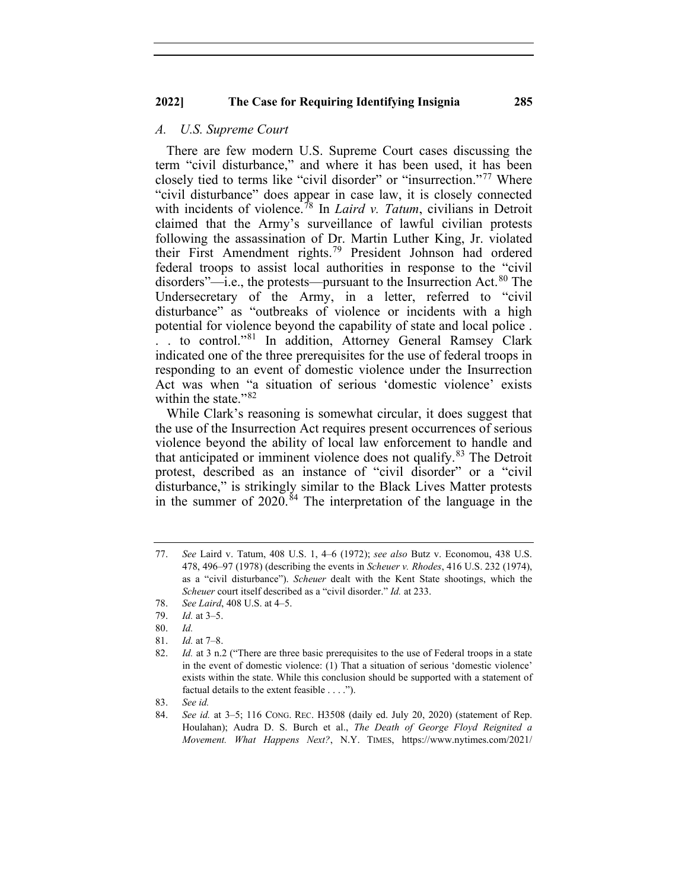#### *A. U.S. Supreme Court*

There are few modern U.S. Supreme Court cases discussing the term "civil disturbance," and where it has been used, it has been closely tied to terms like "civil disorder" or "insurrection."[77](#page-11-0) Where "civil disturbance" does appear in case law, it is closely connected with incidents of violence.<sup>[78](#page-11-1)</sup> In *Laird v. Tatum*, civilians in Detroit claimed that the Army's surveillance of lawful civilian protests following the assassination of Dr. Martin Luther King, Jr. violated their First Amendment rights. [79](#page-11-2) President Johnson had ordered federal troops to assist local authorities in response to the "civil disorders"—i.e., the protests—pursuant to the Insurrection Act.<sup>[80](#page-11-3)</sup> The Undersecretary of the Army, in a letter, referred to "civil disturbance" as "outbreaks of violence or incidents with a high potential for violence beyond the capability of state and local police . . . to control."<sup>[81](#page-11-4)</sup> In addition, Attorney General Ramsey Clark indicated one of the three prerequisites for the use of federal troops in responding to an event of domestic violence under the Insurrection Act was when "a situation of serious 'domestic violence' exists within the state."<sup>[82](#page-11-5)</sup>

While Clark's reasoning is somewhat circular, it does suggest that the use of the Insurrection Act requires present occurrences of serious violence beyond the ability of local law enforcement to handle and that anticipated or imminent violence does not qualify.<sup>[83](#page-11-6)</sup> The Detroit protest, described as an instance of "civil disorder" or a "civil disturbance," is strikingly similar to the Black Lives Matter protests in the summer of 2020.<sup>[84](#page-11-7)</sup> The interpretation of the language in the

<span id="page-11-7"></span><span id="page-11-6"></span>83. *See id.*

<span id="page-11-0"></span><sup>77.</sup> *See* Laird v. Tatum, 408 U.S. 1, 4–6 (1972); *see also* Butz v. Economou, 438 U.S. 478, 496–97 (1978) (describing the events in *Scheuer v. Rhodes*, 416 U.S. 232 (1974), as a "civil disturbance"). *Scheuer* dealt with the Kent State shootings, which the *Scheuer* court itself described as a "civil disorder." *Id.* at 233.

<span id="page-11-2"></span><span id="page-11-1"></span><sup>78.</sup> *See Laird*, 408 U.S. at 4–5.

<sup>79.</sup> *Id.* at 3–5.

<sup>80.</sup> *Id.*

<span id="page-11-3"></span><sup>81.</sup> *Id.* at 7–8.

<span id="page-11-5"></span><span id="page-11-4"></span><sup>82.</sup> *Id.* at 3 n.2 ("There are three basic prerequisites to the use of Federal troops in a state in the event of domestic violence: (1) That a situation of serious 'domestic violence' exists within the state. While this conclusion should be supported with a statement of factual details to the extent feasible . . . .").

<sup>84.</sup> *See id.* at 3–5; 116 CONG. REC. H3508 (daily ed. July 20, 2020) (statement of Rep. Houlahan); Audra D. S. Burch et al., *The Death of George Floyd Reignited a Movement. What Happens Next?*, N.Y. TIMES, https://www.nytimes.com/2021/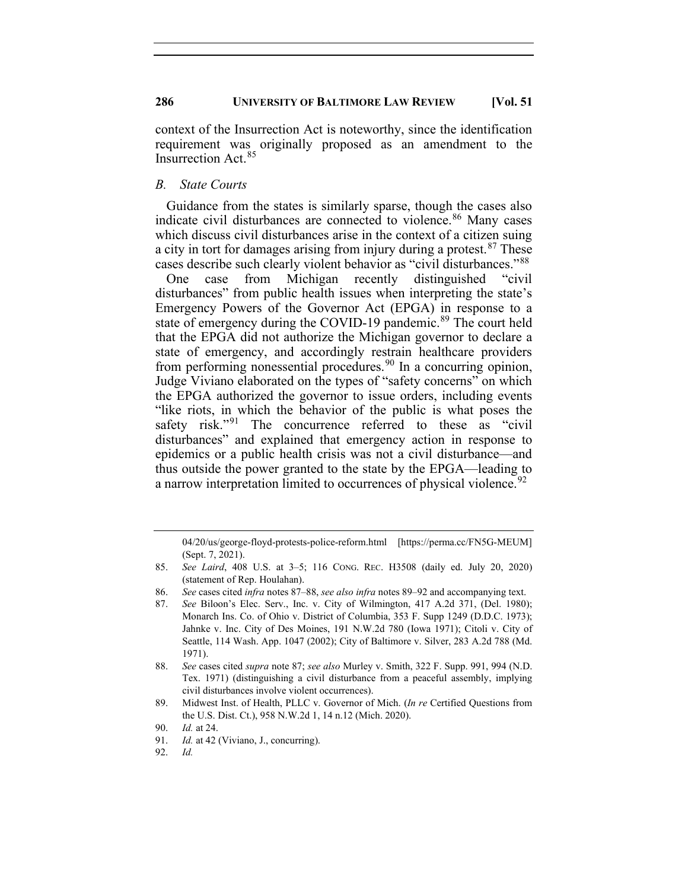context of the Insurrection Act is noteworthy, since the identification requirement was originally proposed as an amendment to the Insurrection Act.[85](#page-12-0)

## *B. State Courts*

Guidance from the states is similarly sparse, though the cases also indicate civil disturbances are connected to violence.<sup>[86](#page-12-1)</sup> Many cases which discuss civil disturbances arise in the context of a citizen suing a city in tort for damages arising from injury during a protest.<sup>[87](#page-12-2)</sup> These cases describe such clearly violent behavior as "civil disturbances."[88](#page-12-3)

One case from Michigan recently distinguished "civil disturbances" from public health issues when interpreting the state's Emergency Powers of the Governor Act (EPGA) in response to a state of emergency during the COVID-19 pandemic.<sup>[89](#page-12-4)</sup> The court held that the EPGA did not authorize the Michigan governor to declare a state of emergency, and accordingly restrain healthcare providers from performing nonessential procedures.<sup>[90](#page-12-5)</sup> In a concurring opinion, Judge Viviano elaborated on the types of "safety concerns" on which the EPGA authorized the governor to issue orders, including events "like riots, in which the behavior of the public is what poses the safety risk."<sup>[91](#page-12-6)</sup> The concurrence referred to these as "civil disturbances" and explained that emergency action in response to epidemics or a public health crisis was not a civil disturbance—and thus outside the power granted to the state by the EPGA—leading to a narrow interpretation limited to occurrences of physical violence.<sup>[92](#page-12-7)</sup>

<sup>04/20/</sup>us/george-floyd-protests-police-reform.html [https://perma.cc/FN5G-MEUM] (Sept. 7, 2021).

<span id="page-12-0"></span><sup>85.</sup> *See Laird*, 408 U.S. at 3–5; 116 CONG. REC. H3508 (daily ed. July 20, 2020) (statement of Rep. Houlahan).

<span id="page-12-2"></span><span id="page-12-1"></span><sup>86.</sup> *See* cases cited *infra* notes 87–88, *see also infra* notes 89–92 and accompanying text.

See Biloon's Elec. Serv., Inc. v. City of Wilmington, 417 A.2d 371, (Del. 1980); Monarch Ins. Co. of Ohio v. District of Columbia, 353 F. Supp 1249 (D.D.C. 1973); Jahnke v. Inc. City of Des Moines, 191 N.W.2d 780 (Iowa 1971); Citoli v. City of Seattle, 114 Wash. App. 1047 (2002); City of Baltimore v. Silver, 283 A.2d 788 (Md. 1971).

<span id="page-12-3"></span><sup>88.</sup> *See* cases cited *supra* note 87; *see also* Murley v. Smith, 322 F. Supp. 991, 994 (N.D. Tex. 1971) (distinguishing a civil disturbance from a peaceful assembly, implying civil disturbances involve violent occurrences).

<span id="page-12-4"></span><sup>89.</sup> Midwest Inst. of Health, PLLC v. Governor of Mich. (*In re* Certified Questions from the U.S. Dist. Ct.), 958 N.W.2d 1, 14 n.12 (Mich. 2020).

<sup>90.</sup> *Id.* at 24.

<span id="page-12-7"></span><span id="page-12-6"></span><span id="page-12-5"></span><sup>91.</sup> *Id.* at 42 (Viviano, J., concurring).

<sup>92.</sup> *Id.*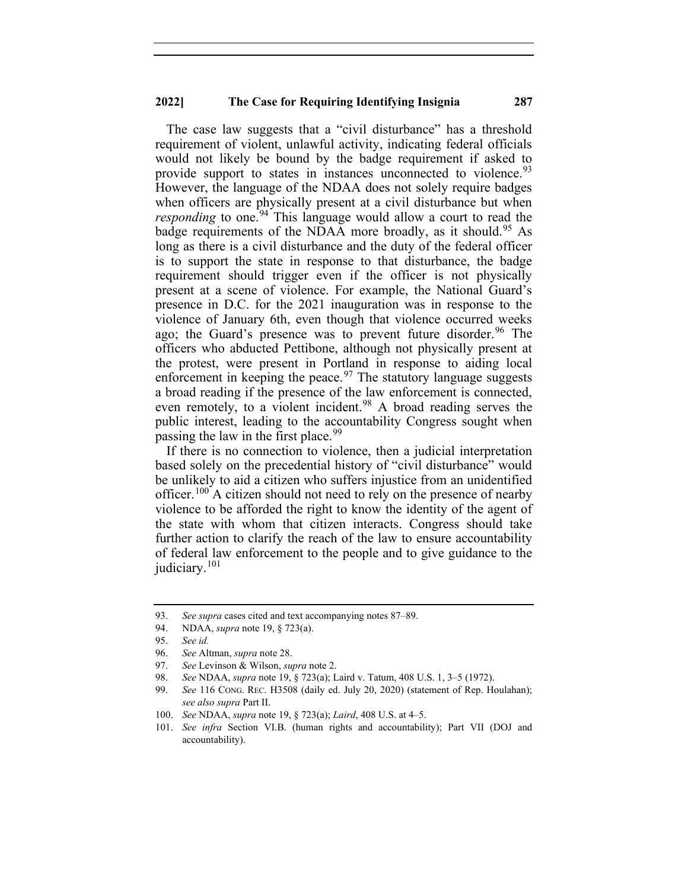The case law suggests that a "civil disturbance" has a threshold requirement of violent, unlawful activity, indicating federal officials would not likely be bound by the badge requirement if asked to provide support to states in instances unconnected to violence.<sup>[93](#page-13-0)</sup> However, the language of the NDAA does not solely require badges when officers are physically present at a civil disturbance but when *responding* to one.<sup>[94](#page-13-1)</sup> This language would allow a court to read the badge requirements of the NDAA more broadly, as it should.<sup>[95](#page-13-2)</sup> As long as there is a civil disturbance and the duty of the federal officer is to support the state in response to that disturbance, the badge requirement should trigger even if the officer is not physically present at a scene of violence. For example, the National Guard's presence in D.C. for the 2021 inauguration was in response to the violence of January 6th, even though that violence occurred weeks ago; the Guard's presence was to prevent future disorder.<sup>[96](#page-13-3)</sup> The officers who abducted Pettibone, although not physically present at the protest, were present in Portland in response to aiding local enforcement in keeping the peace.<sup>[97](#page-13-4)</sup> The statutory language suggests a broad reading if the presence of the law enforcement is connected, even remotely, to a violent incident.<sup>[98](#page-13-5)</sup> A broad reading serves the public interest, leading to the accountability Congress sought when passing the law in the first place.  $99$ 

If there is no connection to violence, then a judicial interpretation based solely on the precedential history of "civil disturbance" would be unlikely to aid a citizen who suffers injustice from an unidentified officer.<sup>[100](#page-13-7)</sup> A citizen should not need to rely on the presence of nearby violence to be afforded the right to know the identity of the agent of the state with whom that citizen interacts. Congress should take further action to clarify the reach of the law to ensure accountability of federal law enforcement to the people and to give guidance to the judiciary.<sup>[101](#page-13-8)</sup>

<span id="page-13-0"></span><sup>93.</sup> *See supra* cases cited and text accompanying notes 87–89.

<span id="page-13-2"></span><span id="page-13-1"></span><sup>94.</sup> NDAA, *supra* note 19, § 723(a).

<sup>95.</sup> *See id.*

<span id="page-13-3"></span><sup>96.</sup> *See* Altman, *supra* note 28.

<span id="page-13-5"></span><span id="page-13-4"></span><sup>97.</sup> *See* Levinson & Wilson, *supra* note 2.

<sup>98.</sup> *See* NDAA, *supra* note 19, § 723(a); Laird v. Tatum, 408 U.S. 1, 3–5 (1972).

<span id="page-13-6"></span><sup>99.</sup> *See* 116 CONG. REC. H3508 (daily ed. July 20, 2020) (statement of Rep. Houlahan); *see also supra* Part II.

<span id="page-13-8"></span><span id="page-13-7"></span><sup>100.</sup> *See* NDAA, *supra* note 19, § 723(a); *Laird*, 408 U.S. at 4–5.

<sup>101.</sup> *See infra* Section VI.B. (human rights and accountability); Part VII (DOJ and accountability).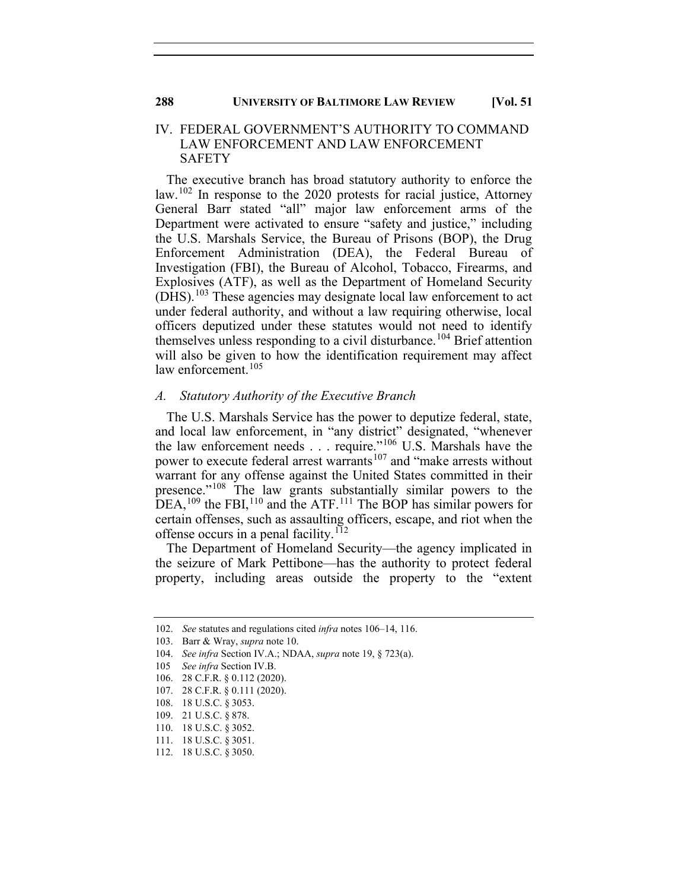#### IV. FEDERAL GOVERNMENT'S AUTHORITY TO COMMAND LAW ENFORCEMENT AND LAW ENFORCEMENT SAFETY

The executive branch has broad statutory authority to enforce the  $\mu$ law.<sup>[102](#page-14-0)</sup> In response to the 2020 protests for racial justice, Attorney General Barr stated "all" major law enforcement arms of the Department were activated to ensure "safety and justice," including the U.S. Marshals Service, the Bureau of Prisons (BOP), the Drug Enforcement Administration (DEA), the Federal Bureau of Investigation (FBI), the Bureau of Alcohol, Tobacco, Firearms, and Explosives (ATF), as well as the Department of Homeland Security (DHS).[103](#page-14-1) These agencies may designate local law enforcement to act under federal authority, and without a law requiring otherwise, local officers deputized under these statutes would not need to identify themselves unless responding to a civil disturbance.<sup>[104](#page-14-2)</sup> Brief attention will also be given to how the identification requirement may affect law enforcement.<sup>[105](#page-14-3)</sup>

#### *A. Statutory Authority of the Executive Branch*

The U.S. Marshals Service has the power to deputize federal, state, and local law enforcement, in "any district" designated, "whenever the law enforcement needs . . . require."[106](#page-14-4) U.S. Marshals have the power to execute federal arrest warrants<sup>[107](#page-14-5)</sup> and "make arrests without warrant for any offense against the United States committed in their presence."[108](#page-14-6) The law grants substantially similar powers to the DEA,<sup>[109](#page-14-7)</sup> the FBI,<sup>[110](#page-14-8)</sup> and the ATF.<sup>[111](#page-14-9)</sup> The BOP has similar powers for certain offenses, such as assaulting officers, escape, and riot when the offense occurs in a penal facility.<sup>[112](#page-14-10)</sup>

The Department of Homeland Security—the agency implicated in the seizure of Mark Pettibone—has the authority to protect federal property, including areas outside the property to the "extent

<span id="page-14-0"></span><sup>102.</sup> *See* statutes and regulations cited *infra* notes 106–14, 116.

<sup>103.</sup> Barr & Wray, *supra* note 10.

<span id="page-14-3"></span><span id="page-14-2"></span><span id="page-14-1"></span><sup>104.</sup> *See infra* Section IV.A.; NDAA, *supra* note 19, § 723(a).

<sup>105</sup> *See infra* Section IV.B.

<span id="page-14-4"></span><sup>106.</sup> 28 C.F.R. § 0.112 (2020).

<sup>107.</sup> 28 C.F.R. § 0.111 (2020).

<span id="page-14-6"></span><span id="page-14-5"></span><sup>108.</sup> 18 U.S.C. § 3053.

<span id="page-14-7"></span><sup>109.</sup> 21 U.S.C. § 878.

<sup>110.</sup> 18 U.S.C. § 3052.

<span id="page-14-10"></span><span id="page-14-9"></span><span id="page-14-8"></span><sup>111.</sup> 18 U.S.C. § 3051.

<sup>112.</sup> 18 U.S.C. § 3050.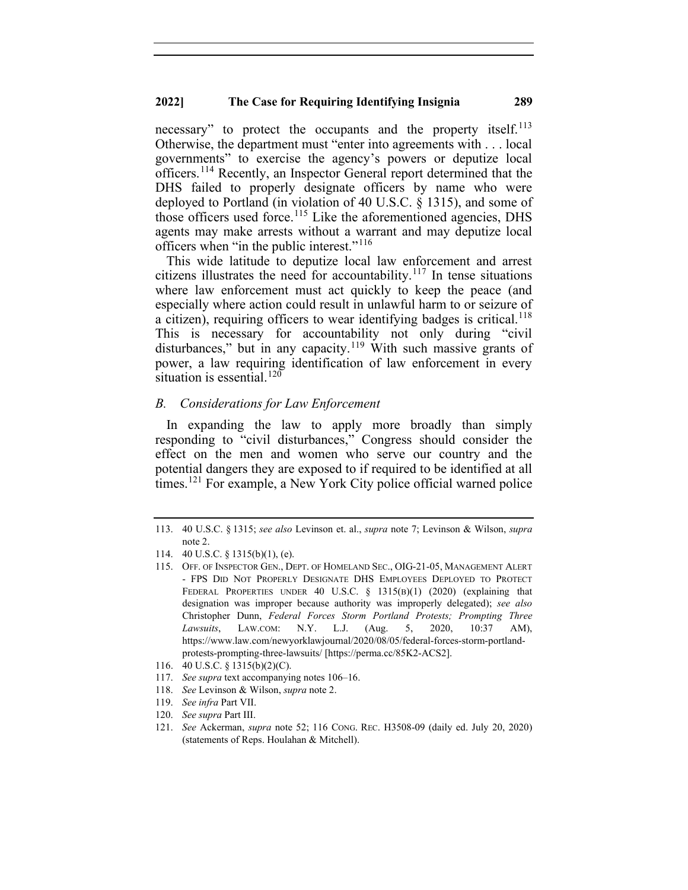necessary" to protect the occupants and the property itself.<sup>[113](#page-15-0)</sup> Otherwise, the department must "enter into agreements with . . . local governments" to exercise the agency's powers or deputize local officers.[114](#page-15-1) Recently, an Inspector General report determined that the DHS failed to properly designate officers by name who were deployed to Portland (in violation of 40 U.S.C. § 1315), and some of those officers used force.<sup>[115](#page-15-2)</sup> Like the aforementioned agencies, DHS agents may make arrests without a warrant and may deputize local officers when "in the public interest."<sup>[116](#page-15-3)</sup>

This wide latitude to deputize local law enforcement and arrest citizens illustrates the need for accountability.<sup>[117](#page-15-4)</sup> In tense situations where law enforcement must act quickly to keep the peace (and especially where action could result in unlawful harm to or seizure of a citizen), requiring officers to wear identifying badges is critical.<sup>[118](#page-15-5)</sup> This is necessary for accountability not only during "civil disturbances," but in any capacity.<sup>[119](#page-15-6)</sup> With such massive grants of power, a law requiring identification of law enforcement in every situation is essential. $120$ 

## *B. Considerations for Law Enforcement*

In expanding the law to apply more broadly than simply responding to "civil disturbances," Congress should consider the effect on the men and women who serve our country and the potential dangers they are exposed to if required to be identified at all times.<sup>[121](#page-15-8)</sup> For example, a New York City police official warned police

- <span id="page-15-6"></span>119. *See infra* Part VII.
- <span id="page-15-8"></span><span id="page-15-7"></span>120. *See supra* Part III.

<span id="page-15-0"></span><sup>113.</sup> 40 U.S.C. § 1315; *see also* Levinson et. al., *supra* note 7; Levinson & Wilson, *supra* note 2.

<span id="page-15-2"></span><span id="page-15-1"></span><sup>114.</sup> 40 U.S.C. § 1315(b)(1), (e).

<sup>115.</sup> OFF. OF INSPECTOR GEN., DEPT. OF HOMELAND SEC., OIG-21-05, MANAGEMENT ALERT - FPS DID NOT PROPERLY DESIGNATE DHS EMPLOYEES DEPLOYED TO PROTECT FEDERAL PROPERTIES UNDER 40 U.S.C. § 1315(B)(1) (2020) (explaining that designation was improper because authority was improperly delegated); *see also* Christopher Dunn, *Federal Forces Storm Portland Protests; Prompting Three Lawsuits*, LAW.COM: N.Y. L.J. (Aug. 5, 2020, 10:37 AM), https://www.law.com/newyorklawjournal/2020/08/05/federal-forces-storm-portlandprotests-prompting-three-lawsuits/ [https://perma.cc/85K2-ACS2].

<sup>116.</sup> 40 U.S.C. § 1315(b)(2)(C).

<span id="page-15-4"></span><span id="page-15-3"></span><sup>117.</sup> *See supra* text accompanying notes 106–16.

<span id="page-15-5"></span><sup>118.</sup> *See* Levinson & Wilson, *supra* note 2.

<sup>121.</sup> *See* Ackerman, *supra* note 52; 116 CONG. REC. H3508-09 (daily ed. July 20, 2020) (statements of Reps. Houlahan & Mitchell).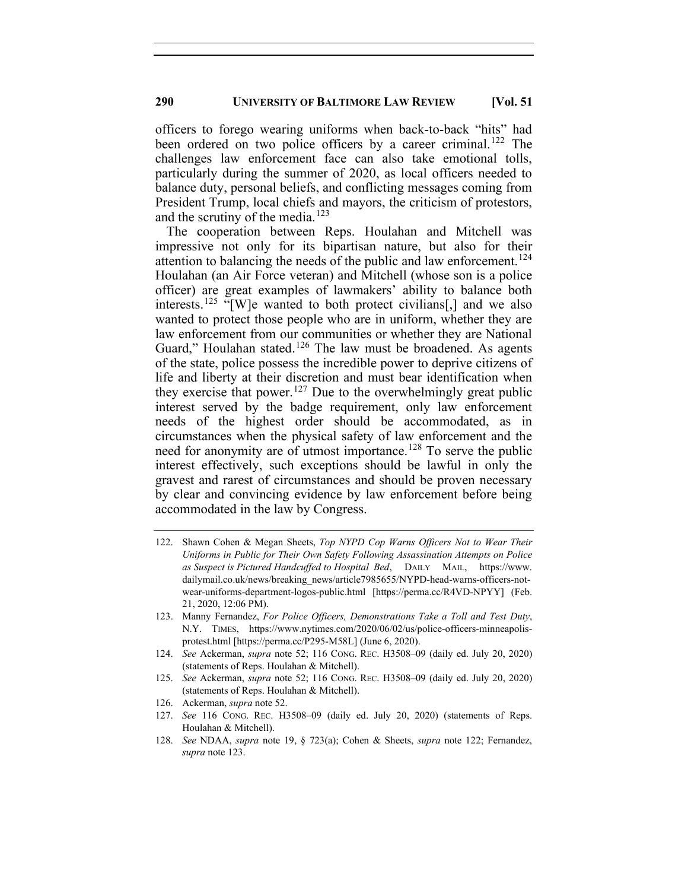officers to forego wearing uniforms when back-to-back "hits" had been ordered on two police officers by a career criminal.<sup>[122](#page-16-0)</sup> The challenges law enforcement face can also take emotional tolls, particularly during the summer of 2020, as local officers needed to balance duty, personal beliefs, and conflicting messages coming from President Trump, local chiefs and mayors, the criticism of protestors, and the scrutiny of the media.<sup>[123](#page-16-1)</sup>

The cooperation between Reps. Houlahan and Mitchell was impressive not only for its bipartisan nature, but also for their attention to balancing the needs of the public and law enforcement.<sup>[124](#page-16-2)</sup> Houlahan (an Air Force veteran) and Mitchell (whose son is a police officer) are great examples of lawmakers' ability to balance both interests.<sup>[125](#page-16-3)</sup> "[W]e wanted to both protect civilians[,] and we also wanted to protect those people who are in uniform, whether they are law enforcement from our communities or whether they are National Guard," Houlahan stated.<sup>[126](#page-16-4)</sup> The law must be broadened. As agents of the state, police possess the incredible power to deprive citizens of life and liberty at their discretion and must bear identification when they exercise that power.<sup>[127](#page-16-5)</sup> Due to the overwhelmingly great public interest served by the badge requirement, only law enforcement needs of the highest order should be accommodated, as in circumstances when the physical safety of law enforcement and the need for anonymity are of utmost importance.<sup>[128](#page-16-6)</sup> To serve the public interest effectively, such exceptions should be lawful in only the gravest and rarest of circumstances and should be proven necessary by clear and convincing evidence by law enforcement before being accommodated in the law by Congress.

<span id="page-16-0"></span><sup>122.</sup> Shawn Cohen & Megan Sheets, *Top NYPD Cop Warns Officers Not to Wear Their Uniforms in Public for Their Own Safety Following Assassination Attempts on Police as Suspect is Pictured Handcuffed to Hospital Bed*, DAILY MAIL, https://www. dailymail.co.uk/news/breaking\_news/article7985655/NYPD-head-warns-officers-notwear-uniforms-department-logos-public.html [https://perma.cc/R4VD-NPYY] (Feb. 21, 2020, 12:06 PM).

<span id="page-16-1"></span><sup>123.</sup> Manny Fernandez, *For Police Officers, Demonstrations Take a Toll and Test Duty*, N.Y. TIMES, https://www.nytimes.com/2020/06/02/us/police-officers-minneapolisprotest.html [https://perma.cc/P295-M58L] (June 6, 2020).

<span id="page-16-2"></span><sup>124.</sup> *See* Ackerman, *supra* note 52; 116 CONG. REC. H3508–09 (daily ed. July 20, 2020) (statements of Reps. Houlahan & Mitchell).

<span id="page-16-3"></span><sup>125.</sup> *See* Ackerman, *supra* note 52; 116 CONG. REC. H3508–09 (daily ed. July 20, 2020) (statements of Reps. Houlahan & Mitchell).

<span id="page-16-4"></span><sup>126.</sup> Ackerman, *supra* note 52.

<span id="page-16-5"></span><sup>127.</sup> *See* 116 CONG. REC. H3508–09 (daily ed. July 20, 2020) (statements of Reps. Houlahan & Mitchell).

<span id="page-16-6"></span><sup>128.</sup> *See* NDAA, *supra* note 19, § 723(a); Cohen & Sheets, *supra* note 122; Fernandez, *supra* note 123.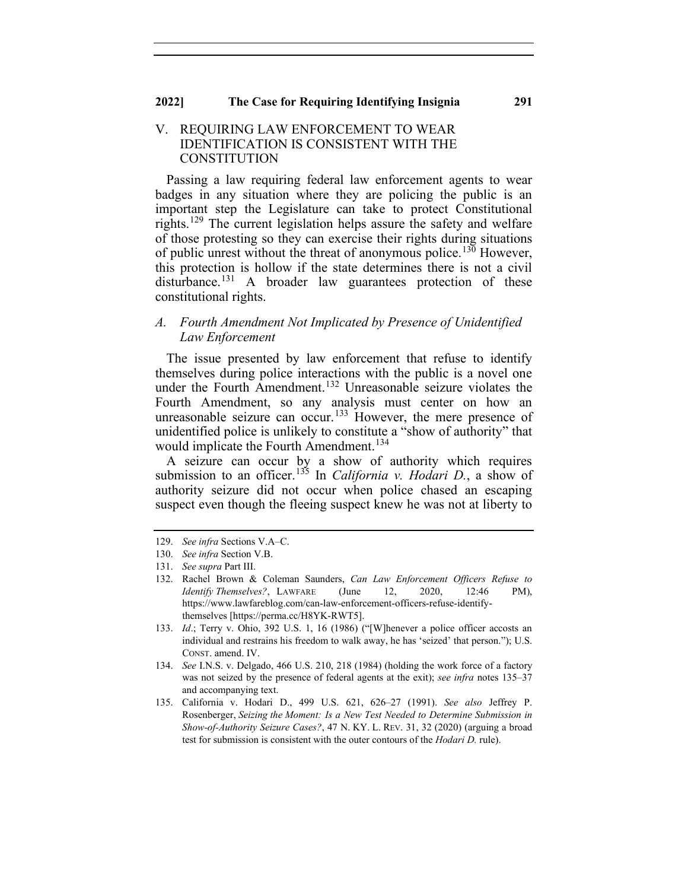#### V. REQUIRING LAW ENFORCEMENT TO WEAR IDENTIFICATION IS CONSISTENT WITH THE **CONSTITUTION**

Passing a law requiring federal law enforcement agents to wear badges in any situation where they are policing the public is an important step the Legislature can take to protect Constitutional rights.<sup>[129](#page-17-0)</sup> The current legislation helps assure the safety and welfare of those protesting so they can exercise their rights during situations of public unrest without the threat of anonymous police.<sup>[130](#page-17-1)</sup> However, this protection is hollow if the state determines there is not a civil disturbance.<sup>[131](#page-17-2)</sup> A broader law guarantees protection of these constitutional rights.

## *A. Fourth Amendment Not Implicated by Presence of Unidentified Law Enforcement*

The issue presented by law enforcement that refuse to identify themselves during police interactions with the public is a novel one under the Fourth Amendment.<sup>[132](#page-17-3)</sup> Unreasonable seizure violates the Fourth Amendment, so any analysis must center on how an unreasonable seizure can occur.<sup>[133](#page-17-4)</sup> However, the mere presence of unidentified police is unlikely to constitute a "show of authority" that would implicate the Fourth Amendment. [134](#page-17-5)

A seizure can occur by a show of authority which requires submission to an officer.<sup>[135](#page-17-6)</sup> In *California v. Hodari D.*, a show of authority seizure did not occur when police chased an escaping suspect even though the fleeing suspect knew he was not at liberty to

<span id="page-17-0"></span><sup>129.</sup> *See infra* Sections V.A–C.

<span id="page-17-1"></span><sup>130.</sup> *See infra* Section V.B.

<span id="page-17-3"></span><span id="page-17-2"></span><sup>131.</sup> *See supra* Part III.

<sup>132.</sup> Rachel Brown & Coleman Saunders, *Can Law Enforcement Officers Refuse to Identify Themselves?*, LAWFARE (June 12, 2020, 12:46 PM), https://www.lawfareblog.com/can-law-enforcement-officers-refuse-identifythemselves [https://perma.cc/H8YK-RWT5].

<span id="page-17-4"></span><sup>133.</sup> *Id*.; Terry v. Ohio, 392 U.S. 1, 16 (1986) ("[W]henever a police officer accosts an individual and restrains his freedom to walk away, he has 'seized' that person."); U.S. CONST. amend. IV.

<span id="page-17-5"></span><sup>134.</sup> *See* I.N.S. v. Delgado, 466 U.S. 210, 218 (1984) (holding the work force of a factory was not seized by the presence of federal agents at the exit); *see infra* notes 135–37 and accompanying text.

<span id="page-17-6"></span><sup>135.</sup> California v. Hodari D., 499 U.S. 621, 626–27 (1991). *See also* Jeffrey P. Rosenberger, *Seizing the Moment: Is a New Test Needed to Determine Submission in Show-of-Authority Seizure Cases?*, 47 N. KY. L. REV. 31, 32 (2020) (arguing a broad test for submission is consistent with the outer contours of the *Hodari D.* rule).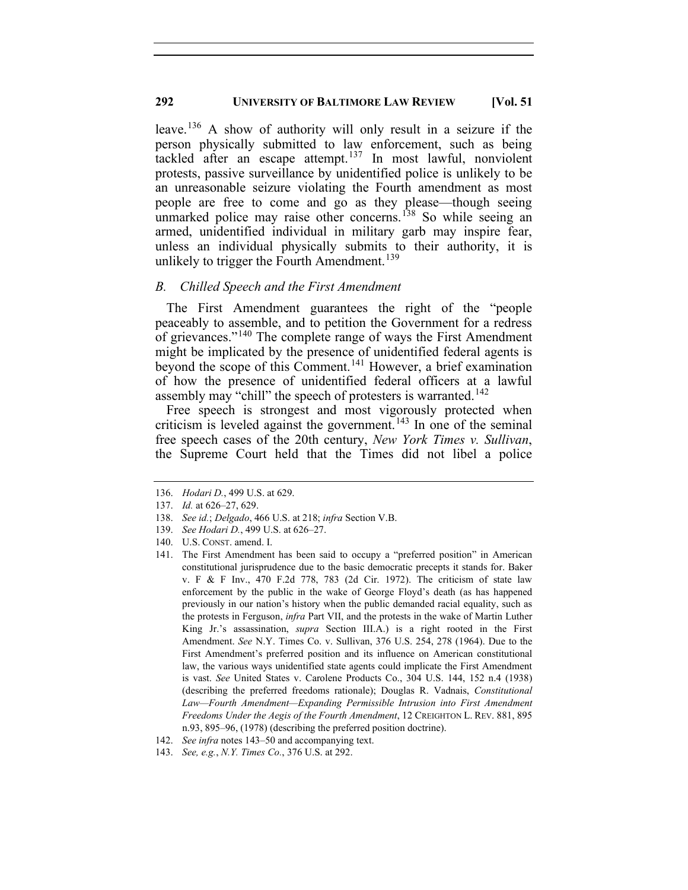leave.<sup>[136](#page-18-0)</sup> A show of authority will only result in a seizure if the person physically submitted to law enforcement, such as being tackled after an escape attempt.<sup>[137](#page-18-1)</sup> In most lawful, nonviolent protests, passive surveillance by unidentified police is unlikely to be an unreasonable seizure violating the Fourth amendment as most people are free to come and go as they please—though seeing unmarked police may raise other concerns.<sup>[138](#page-18-2)</sup> So while seeing an armed, unidentified individual in military garb may inspire fear, unless an individual physically submits to their authority, it is unlikely to trigger the Fourth Amendment.<sup>[139](#page-18-3)</sup>

## *B. Chilled Speech and the First Amendment*

The First Amendment guarantees the right of the "people peaceably to assemble, and to petition the Government for a redress of grievances."[140](#page-18-4) The complete range of ways the First Amendment might be implicated by the presence of unidentified federal agents is beyond the scope of this Comment.<sup>[141](#page-18-5)</sup> However, a brief examination of how the presence of unidentified federal officers at a lawful assembly may "chill" the speech of protesters is warranted.<sup>[142](#page-18-6)</sup>

Free speech is strongest and most vigorously protected when criticism is leveled against the government. [143](#page-18-7) In one of the seminal free speech cases of the 20th century, *New York Times v. Sullivan*, the Supreme Court held that the Times did not libel a police

<span id="page-18-0"></span><sup>136.</sup> *Hodari D.*, 499 U.S. at 629.

<span id="page-18-2"></span><span id="page-18-1"></span><sup>137.</sup> *Id.* at 626–27, 629.

<sup>138.</sup> *See id.*; *Delgado*, 466 U.S. at 218; *infra* Section V.B.

<span id="page-18-3"></span><sup>139.</sup> *See Hodari D.*, 499 U.S. at 626–27.

<span id="page-18-4"></span><sup>140.</sup> U.S. CONST. amend. I.

<span id="page-18-5"></span><sup>141.</sup> The First Amendment has been said to occupy a "preferred position" in American constitutional jurisprudence due to the basic democratic precepts it stands for. Baker v. F & F Inv., 470 F.2d 778, 783 (2d Cir. 1972). The criticism of state law enforcement by the public in the wake of George Floyd's death (as has happened previously in our nation's history when the public demanded racial equality, such as the protests in Ferguson, *infra* Part VII, and the protests in the wake of Martin Luther King Jr.'s assassination, *supra* Section III.A.) is a right rooted in the First Amendment. *See* N.Y. Times Co. v. Sullivan, 376 U.S. 254, 278 (1964). Due to the First Amendment's preferred position and its influence on American constitutional law, the various ways unidentified state agents could implicate the First Amendment is vast. *See* United States v. Carolene Products Co., 304 U.S. 144, 152 n.4 (1938) (describing the preferred freedoms rationale); Douglas R. Vadnais, *Constitutional Law—Fourth Amendment—Expanding Permissible Intrusion into First Amendment Freedoms Under the Aegis of the Fourth Amendment*, 12 CREIGHTON L. REV. 881, 895 n.93, 895–96, (1978) (describing the preferred position doctrine).

<sup>142.</sup> *See infra* notes 143–50 and accompanying text.

<span id="page-18-7"></span><span id="page-18-6"></span><sup>143.</sup> *See, e.g.*, *N.Y. Times Co.*, 376 U.S. at 292.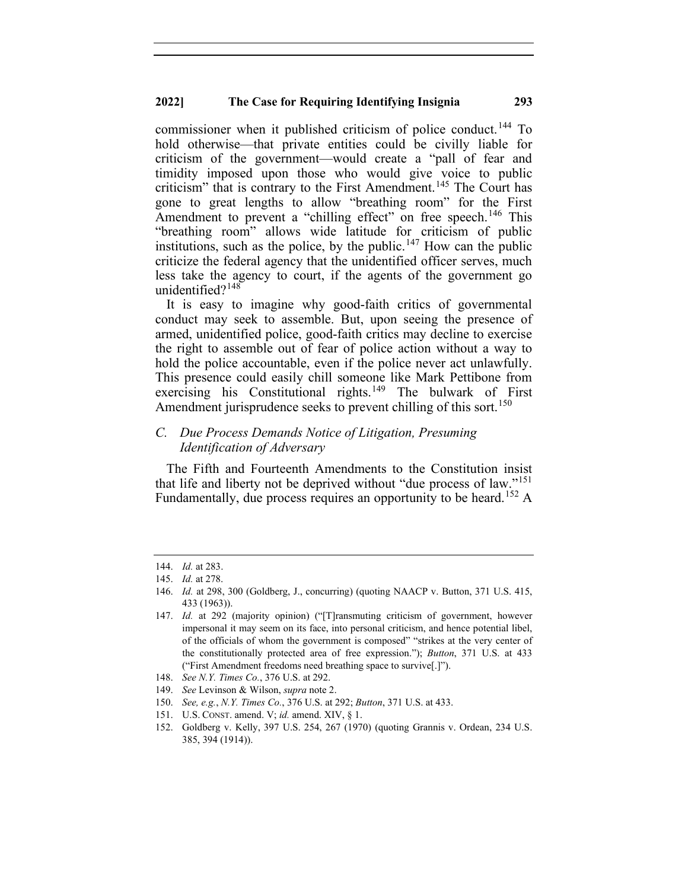commissioner when it published criticism of police conduct.<sup>[144](#page-19-0)</sup> To hold otherwise—that private entities could be civilly liable for criticism of the government—would create a "pall of fear and timidity imposed upon those who would give voice to public criticism" that is contrary to the First Amendment.<sup>[145](#page-19-1)</sup> The Court has gone to great lengths to allow "breathing room" for the First Amendment to prevent a "chilling effect" on free speech.<sup>[146](#page-19-2)</sup> This "breathing room" allows wide latitude for criticism of public institutions, such as the police, by the public.<sup>[147](#page-19-3)</sup> How can the public criticize the federal agency that the unidentified officer serves, much less take the agency to court, if the agents of the government go unidentified?<sup>[148](#page-19-4)</sup>

It is easy to imagine why good-faith critics of governmental conduct may seek to assemble. But, upon seeing the presence of armed, unidentified police, good-faith critics may decline to exercise the right to assemble out of fear of police action without a way to hold the police accountable, even if the police never act unlawfully. This presence could easily chill someone like Mark Pettibone from exercising his Constitutional rights.<sup>[149](#page-19-5)</sup> The bulwark of First Amendment jurisprudence seeks to prevent chilling of this sort.<sup>[150](#page-19-6)</sup>

## *C. Due Process Demands Notice of Litigation, Presuming Identification of Adversary*

The Fifth and Fourteenth Amendments to the Constitution insist that life and liberty not be deprived without "due process of law."[151](#page-19-7) Fundamentally, due process requires an opportunity to be heard.<sup>[152](#page-19-8)</sup> A

- <span id="page-19-5"></span>149. *See* Levinson & Wilson, *supra* note 2.
- <span id="page-19-6"></span>150. *See, e.g.*, *N.Y. Times Co.*, 376 U.S. at 292; *Button*, 371 U.S. at 433.
- 151. U.S. CONST. amend. V; *id.* amend. XIV, § 1.

<span id="page-19-0"></span><sup>144.</sup> *Id.* at 283.

<span id="page-19-2"></span><span id="page-19-1"></span><sup>145.</sup> *Id.* at 278.

<sup>146.</sup> *Id.* at 298, 300 (Goldberg, J., concurring) (quoting NAACP v. Button, 371 U.S. 415, 433 (1963)).

<span id="page-19-3"></span><sup>147.</sup> *Id.* at 292 (majority opinion) ("[T]ransmuting criticism of government, however impersonal it may seem on its face, into personal criticism, and hence potential libel, of the officials of whom the government is composed" "strikes at the very center of the constitutionally protected area of free expression."); *Button*, 371 U.S. at 433 ("First Amendment freedoms need breathing space to survive[.]").

<span id="page-19-4"></span><sup>148.</sup> *See N.Y. Times Co.*, 376 U.S. at 292.

<span id="page-19-8"></span><span id="page-19-7"></span><sup>152.</sup> Goldberg v. Kelly, 397 U.S. 254, 267 (1970) (quoting Grannis v. Ordean, 234 U.S. 385, 394 (1914)).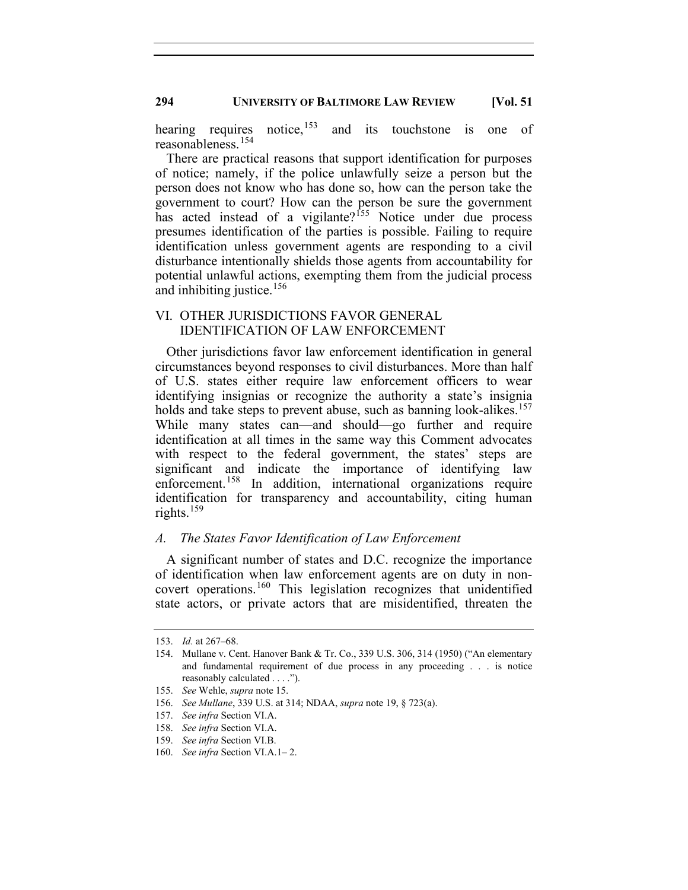hearing requires notice,<sup>[153](#page-20-0)</sup> and its touchstone is one of reasonableness.[154](#page-20-1)

There are practical reasons that support identification for purposes of notice; namely, if the police unlawfully seize a person but the person does not know who has done so, how can the person take the government to court? How can the person be sure the government has acted instead of a vigilante?<sup>[155](#page-20-2)</sup> Notice under due process presumes identification of the parties is possible. Failing to require identification unless government agents are responding to a civil disturbance intentionally shields those agents from accountability for potential unlawful actions, exempting them from the judicial process and inhibiting justice. $156$ 

## VI. OTHER JURISDICTIONS FAVOR GENERAL IDENTIFICATION OF LAW ENFORCEMENT

Other jurisdictions favor law enforcement identification in general circumstances beyond responses to civil disturbances. More than half of U.S. states either require law enforcement officers to wear identifying insignias or recognize the authority a state's insignia holds and take steps to prevent abuse, such as banning look-alikes. [157](#page-20-4) While many states can—and should—go further and require identification at all times in the same way this Comment advocates with respect to the federal government, the states' steps are significant and indicate the importance of identifying law enforcement.<sup>[158](#page-20-5)</sup> In addition, international organizations require identification for transparency and accountability, citing human rights. $159$ 

## *A. The States Favor Identification of Law Enforcement*

A significant number of states and D.C. recognize the importance of identification when law enforcement agents are on duty in noncovert operations.[160](#page-20-7) This legislation recognizes that unidentified state actors, or private actors that are misidentified, threaten the

<span id="page-20-0"></span><sup>153.</sup> *Id.* at 267–68.

<span id="page-20-1"></span><sup>154.</sup> Mullane v. Cent. Hanover Bank & Tr. Co., 339 U.S. 306, 314 (1950) ("An elementary and fundamental requirement of due process in any proceeding . . . is notice reasonably calculated . . . .").

<span id="page-20-2"></span><sup>155.</sup> *See* Wehle, *supra* note 15.

<span id="page-20-3"></span><sup>156.</sup> *See Mullane*, 339 U.S. at 314; NDAA, *supra* note 19, § 723(a).

<span id="page-20-4"></span><sup>157.</sup> *See infra* Section VI.A.

<sup>158.</sup> *See infra* Section VI.A.

<span id="page-20-6"></span><span id="page-20-5"></span><sup>159.</sup> *See infra* Section VI.B.

<span id="page-20-7"></span><sup>160.</sup> *See infra* Section VI.A.1– 2.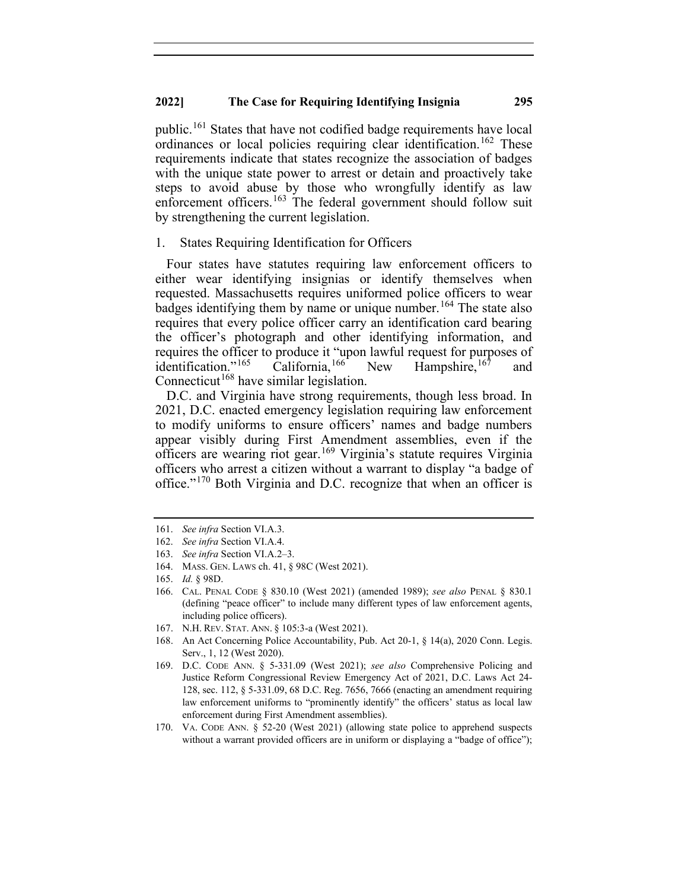public.[161](#page-21-0) States that have not codified badge requirements have local ordinances or local policies requiring clear identification.<sup>[162](#page-21-1)</sup> These requirements indicate that states recognize the association of badges with the unique state power to arrest or detain and proactively take steps to avoid abuse by those who wrongfully identify as law enforcement officers.<sup>[163](#page-21-2)</sup> The federal government should follow suit by strengthening the current legislation.

#### 1. States Requiring Identification for Officers

Four states have statutes requiring law enforcement officers to either wear identifying insignias or identify themselves when requested. Massachusetts requires uniformed police officers to wear badges identifying them by name or unique number.<sup>[164](#page-21-3)</sup> The state also requires that every police officer carry an identification card bearing the officer's photograph and other identifying information, and requires the officer to produce it "upon lawful request for purposes of identification."<sup>165</sup> California,<sup>166</sup> New Hampshire,<sup>167</sup> and identification."<sup>[165](#page-21-4)</sup> California,<sup>[166](#page-21-5)</sup> New Hampshire,<sup>[167](#page-21-6)</sup> and Connecticut<sup>[168](#page-21-7)</sup> have similar legislation.

D.C. and Virginia have strong requirements, though less broad. In 2021, D.C. enacted emergency legislation requiring law enforcement to modify uniforms to ensure officers' names and badge numbers appear visibly during First Amendment assemblies, even if the officers are wearing riot gear.[169](#page-21-8) Virginia's statute requires Virginia officers who arrest a citizen without a warrant to display "a badge of office."[170](#page-21-9) Both Virginia and D.C. recognize that when an officer is

<span id="page-21-1"></span><span id="page-21-0"></span><sup>161.</sup> *See infra* Section VI.A.3.

<sup>162.</sup> *See infra* Section VI.A.4.

<span id="page-21-2"></span><sup>163.</sup> *See infra* Section VI.A.2–3.

<sup>164.</sup> MASS. GEN. LAWS ch. 41, § 98C (West 2021).

<span id="page-21-4"></span><span id="page-21-3"></span><sup>165.</sup> *Id.* § 98D.

<span id="page-21-5"></span><sup>166.</sup> CAL. PENAL CODE § 830.10 (West 2021) (amended 1989); *see also* PENAL § 830.1 (defining "peace officer" to include many different types of law enforcement agents, including police officers).

<sup>167.</sup> N.H. REV. STAT. ANN. § 105:3-a (West 2021).

<span id="page-21-7"></span><span id="page-21-6"></span><sup>168.</sup> An Act Concerning Police Accountability, Pub. Act 20-1, § 14(a), 2020 Conn. Legis. Serv., 1, 12 (West 2020).

<span id="page-21-8"></span><sup>169.</sup> D.C. CODE ANN. § 5-331.09 (West 2021); *see also* Comprehensive Policing and Justice Reform Congressional Review Emergency Act of 2021, D.C. Laws Act 24- 128, sec. 112, § 5-331.09, 68 D.C. Reg. 7656, 7666 (enacting an amendment requiring law enforcement uniforms to "prominently identify" the officers' status as local law enforcement during First Amendment assemblies).

<span id="page-21-9"></span><sup>170.</sup> VA. CODE ANN. § 52-20 (West 2021) (allowing state police to apprehend suspects without a warrant provided officers are in uniform or displaying a "badge of office");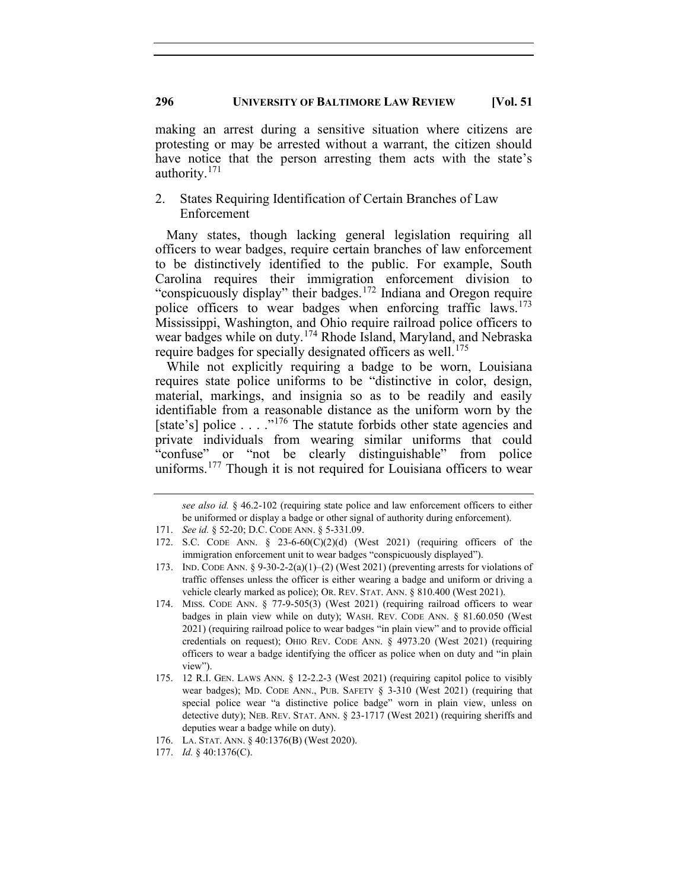making an arrest during a sensitive situation where citizens are protesting or may be arrested without a warrant, the citizen should have notice that the person arresting them acts with the state's authority.<sup>[171](#page-22-0)</sup>

## 2. States Requiring Identification of Certain Branches of Law Enforcement

Many states, though lacking general legislation requiring all officers to wear badges, require certain branches of law enforcement to be distinctively identified to the public. For example, South Carolina requires their immigration enforcement division to "conspicuously display" their badges.[172](#page-22-1) Indiana and Oregon require police officers to wear badges when enforcing traffic laws.<sup>[173](#page-22-2)</sup> Mississippi, Washington, and Ohio require railroad police officers to wear badges while on duty.<sup>[174](#page-22-3)</sup> Rhode Island, Maryland, and Nebraska require badges for specially designated officers as well.<sup>[175](#page-22-4)</sup>

While not explicitly requiring a badge to be worn, Louisiana requires state police uniforms to be "distinctive in color, design, material, markings, and insignia so as to be readily and easily identifiable from a reasonable distance as the uniform worn by the [state's] police  $\dots$  ..."<sup>[176](#page-22-5)</sup> The statute forbids other state agencies and private individuals from wearing similar uniforms that could "confuse" or "not be clearly distinguishable" from police uniforms.<sup>[177](#page-22-6)</sup> Though it is not required for Louisiana officers to wear

*see also id.* § 46.2-102 (requiring state police and law enforcement officers to either be uniformed or display a badge or other signal of authority during enforcement).

<span id="page-22-0"></span><sup>171.</sup> *See id.* § 52-20; D.C. CODE ANN. § 5-331.09.

<span id="page-22-1"></span><sup>172.</sup> S.C. CODE ANN.  $\S$  23-6-60(C)(2)(d) (West 2021) (requiring officers of the immigration enforcement unit to wear badges "conspicuously displayed").

<span id="page-22-2"></span><sup>173.</sup> IND. CODE ANN. §  $9-30-2-2(a)(1)-(2)$  (West 2021) (preventing arrests for violations of traffic offenses unless the officer is either wearing a badge and uniform or driving a vehicle clearly marked as police); OR. REV. STAT. ANN. § 810.400 (West 2021).

<span id="page-22-3"></span><sup>174.</sup> MISS. CODE ANN. § 77-9-505(3) (West 2021) (requiring railroad officers to wear badges in plain view while on duty); WASH. REV. CODE ANN. § 81.60.050 (West 2021) (requiring railroad police to wear badges "in plain view" and to provide official credentials on request); OHIO REV. CODE ANN. § 4973.20 (West 2021) (requiring officers to wear a badge identifying the officer as police when on duty and "in plain view").

<span id="page-22-4"></span><sup>175.</sup> 12 R.I. GEN. LAWS ANN. § 12-2.2-3 (West 2021) (requiring capitol police to visibly wear badges); MD. CODE ANN., PUB. SAFETY § 3-310 (West 2021) (requiring that special police wear "a distinctive police badge" worn in plain view, unless on detective duty); NEB. REV. STAT. ANN. § 23-1717 (West 2021) (requiring sheriffs and deputies wear a badge while on duty).

<sup>176.</sup> LA. STAT. ANN. § 40:1376(B) (West 2020).

<span id="page-22-6"></span><span id="page-22-5"></span><sup>177.</sup> *Id.* § 40:1376(C).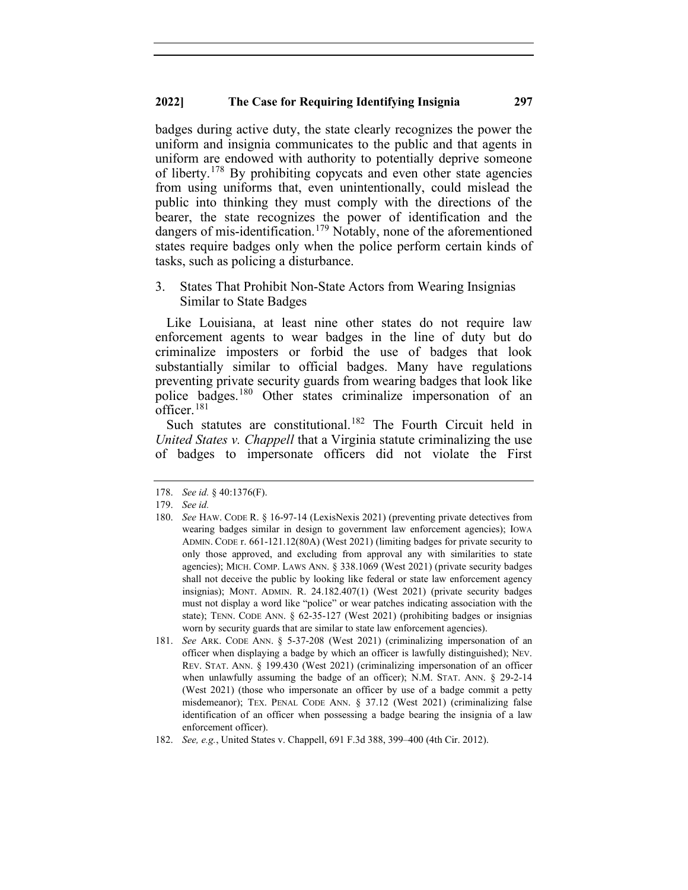badges during active duty, the state clearly recognizes the power the uniform and insignia communicates to the public and that agents in uniform are endowed with authority to potentially deprive someone of liberty.<sup>[178](#page-23-0)</sup> By prohibiting copycats and even other state agencies from using uniforms that, even unintentionally, could mislead the public into thinking they must comply with the directions of the bearer, the state recognizes the power of identification and the dangers of mis-identification.<sup>[179](#page-23-1)</sup> Notably, none of the aforementioned states require badges only when the police perform certain kinds of tasks, such as policing a disturbance.

3. States That Prohibit Non-State Actors from Wearing Insignias Similar to State Badges

Like Louisiana, at least nine other states do not require law enforcement agents to wear badges in the line of duty but do criminalize imposters or forbid the use of badges that look substantially similar to official badges. Many have regulations preventing private security guards from wearing badges that look like police badges.[180](#page-23-2) Other states criminalize impersonation of an officer.  $181$ 

Such statutes are constitutional.<sup>[182](#page-23-4)</sup> The Fourth Circuit held in *United States v. Chappell* that a Virginia statute criminalizing the use of badges to impersonate officers did not violate the First

<span id="page-23-0"></span><sup>178.</sup> *See id.* § 40:1376(F).

<span id="page-23-2"></span><span id="page-23-1"></span><sup>179.</sup> *See id.*

<sup>180.</sup> *See* HAW. CODE R. § 16-97-14 (LexisNexis 2021) (preventing private detectives from wearing badges similar in design to government law enforcement agencies); IOWA ADMIN. CODE r. 661-121.12(80A) (West 2021) (limiting badges for private security to only those approved, and excluding from approval any with similarities to state agencies); MICH. COMP. LAWS ANN. § 338.1069 (West 2021) (private security badges shall not deceive the public by looking like federal or state law enforcement agency insignias); MONT. ADMIN. R. 24.182.407(1) (West 2021) (private security badges must not display a word like "police" or wear patches indicating association with the state); TENN. CODE ANN. § 62-35-127 (West 2021) (prohibiting badges or insignias worn by security guards that are similar to state law enforcement agencies).

<span id="page-23-3"></span><sup>181.</sup> *See* ARK. CODE ANN. § 5-37-208 (West 2021) (criminalizing impersonation of an officer when displaying a badge by which an officer is lawfully distinguished); NEV. REV. STAT. ANN. § 199.430 (West 2021) (criminalizing impersonation of an officer when unlawfully assuming the badge of an officer); N.M. STAT. ANN. § 29-2-14 (West 2021) (those who impersonate an officer by use of a badge commit a petty misdemeanor); TEX. PENAL CODE ANN. § 37.12 (West 2021) (criminalizing false identification of an officer when possessing a badge bearing the insignia of a law enforcement officer).

<span id="page-23-4"></span><sup>182.</sup> *See, e.g.*, United States v. Chappell, 691 F.3d 388, 399–400 (4th Cir. 2012).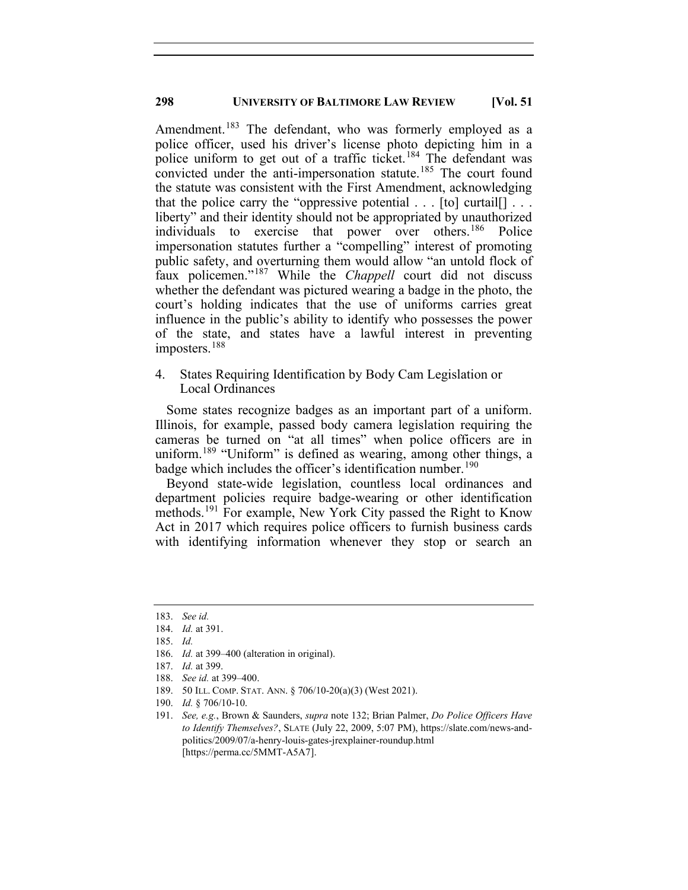Amendment.<sup>[183](#page-24-0)</sup> The defendant, who was formerly employed as a police officer, used his driver's license photo depicting him in a police uniform to get out of a traffic ticket.<sup>[184](#page-24-1)</sup> The defendant was convicted under the anti-impersonation statute.<sup>[185](#page-24-2)</sup> The court found the statute was consistent with the First Amendment, acknowledging that the police carry the "oppressive potential  $\ldots$  [to] curtail[]  $\ldots$ liberty" and their identity should not be appropriated by unauthorized individuals to exercise that power over others.[186](#page-24-3) Police impersonation statutes further a "compelling" interest of promoting public safety, and overturning them would allow "an untold flock of faux policemen."[187](#page-24-4) While the *Chappell* court did not discuss whether the defendant was pictured wearing a badge in the photo, the court's holding indicates that the use of uniforms carries great influence in the public's ability to identify who possesses the power of the state, and states have a lawful interest in preventing imposters.<sup>[188](#page-24-5)</sup>

## 4. States Requiring Identification by Body Cam Legislation or Local Ordinances

Some states recognize badges as an important part of a uniform. Illinois, for example, passed body camera legislation requiring the cameras be turned on "at all times" when police officers are in uniform.<sup>[189](#page-24-6)</sup> "Uniform" is defined as wearing, among other things, a badge which includes the officer's identification number.<sup>[190](#page-24-7)</sup>

Beyond state-wide legislation, countless local ordinances and department policies require badge-wearing or other identification methods.<sup>[191](#page-24-8)</sup> For example, New York City passed the Right to Know Act in 2017 which requires police officers to furnish business cards with identifying information whenever they stop or search an

<span id="page-24-1"></span><span id="page-24-0"></span><sup>183.</sup> *See id.*

<span id="page-24-4"></span><span id="page-24-3"></span><span id="page-24-2"></span><sup>184.</sup> *Id.* at 391.

<sup>185.</sup> *Id.*

<sup>186.</sup> *Id.* at 399–400 (alteration in original).

<span id="page-24-5"></span><sup>187.</sup> *Id.* at 399.

<sup>188.</sup> *See id.* at 399–400.

<sup>189.</sup> 50 ILL. COMP. STAT. ANN. § 706/10-20(a)(3) (West 2021).

<span id="page-24-8"></span><span id="page-24-7"></span><span id="page-24-6"></span><sup>190.</sup> *Id.* § 706/10-10.

<sup>191.</sup> *See, e.g.*, Brown & Saunders, *supra* note 132; Brian Palmer, *Do Police Officers Have to Identify Themselves?*, SLATE (July 22, 2009, 5:07 PM), https://slate.com/news-andpolitics/2009/07/a-henry-louis-gates-jrexplainer-roundup.html [https://perma.cc/5MMT-A5A7].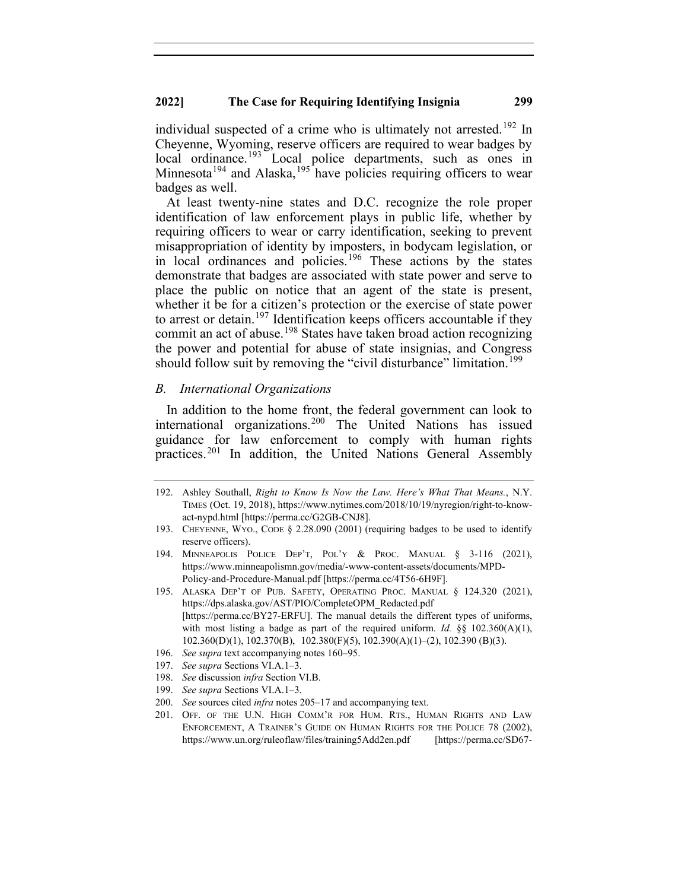individual suspected of a crime who is ultimately not arrested.<sup>[192](#page-25-0)</sup> In Cheyenne, Wyoming, reserve officers are required to wear badges by local ordinance.<sup>[193](#page-25-1)</sup> Local police departments, such as ones in Minnesota<sup>[194](#page-25-2)</sup> and Alaska,<sup>[195](#page-25-3)</sup> have policies requiring officers to wear badges as well.

At least twenty-nine states and D.C. recognize the role proper identification of law enforcement plays in public life, whether by requiring officers to wear or carry identification, seeking to prevent misappropriation of identity by imposters, in bodycam legislation, or in local ordinances and policies. [196](#page-25-4) These actions by the states demonstrate that badges are associated with state power and serve to place the public on notice that an agent of the state is present, whether it be for a citizen's protection or the exercise of state power to arrest or detain.<sup>[197](#page-25-5)</sup> Identification keeps officers accountable if they commit an act of abuse.<sup>[198](#page-25-6)</sup> States have taken broad action recognizing the power and potential for abuse of state insignias, and Congress should follow suit by removing the "civil disturbance" limitation.<sup>[199](#page-25-7)</sup>

## *B. International Organizations*

In addition to the home front, the federal government can look to international organizations. [200](#page-25-8) The United Nations has issued guidance for law enforcement to comply with human rights practices.[201](#page-25-9) In addition, the United Nations General Assembly

- <span id="page-25-4"></span>196. *See supra* text accompanying notes 160–95.
- <span id="page-25-5"></span>197. *See supra* Sections VI.A.1–3.
- 198. *See* discussion *infra* Section VI.B.
- <span id="page-25-7"></span><span id="page-25-6"></span>199. *See supra* Sections VI.A.1–3.
- <span id="page-25-9"></span><span id="page-25-8"></span>200. *See* sources cited *infra* notes 205–17 and accompanying text.

<span id="page-25-0"></span><sup>192.</sup> Ashley Southall, *Right to Know Is Now the Law. Here's What That Means.*, N.Y. TIMES (Oct. 19, 2018), https://www.nytimes.com/2018/10/19/nyregion/right-to-knowact-nypd.html [https://perma.cc/G2GB-CNJ8].

<span id="page-25-1"></span><sup>193.</sup> CHEYENNE, WYO., CODE § 2.28.090 (2001) (requiring badges to be used to identify reserve officers).

<span id="page-25-2"></span><sup>194.</sup> MINNEAPOLIS POLICE DEP'T, POL'Y & PROC. MANUAL § 3-116 (2021), https://www.minneapolismn.gov/media/-www-content-assets/documents/MPD-Policy-and-Procedure-Manual.pdf [https://perma.cc/4T56-6H9F].

<span id="page-25-3"></span><sup>195.</sup> ALASKA DEP'T OF PUB. SAFETY, OPERATING PROC. MANUAL § 124.320 (2021), https://dps.alaska.gov/AST/PIO/CompleteOPM\_Redacted.pdf [https://perma.cc/BY27-ERFU]. The manual details the different types of uniforms, with most listing a badge as part of the required uniform. *Id.* §§ 102.360(A)(1), 102.360(D)(1), 102.370(B), 102.380(F)(5), 102.390(A)(1)–(2), 102.390 (B)(3).

<sup>201.</sup> OFF. OF THE U.N. HIGH COMM'R FOR HUM. RTS., HUMAN RIGHTS AND LAW ENFORCEMENT, A TRAINER'S GUIDE ON HUMAN RIGHTS FOR THE POLICE 78 (2002), https://www.un.org/ruleoflaw/files/training5Add2en.pdf [https://perma.cc/SD67-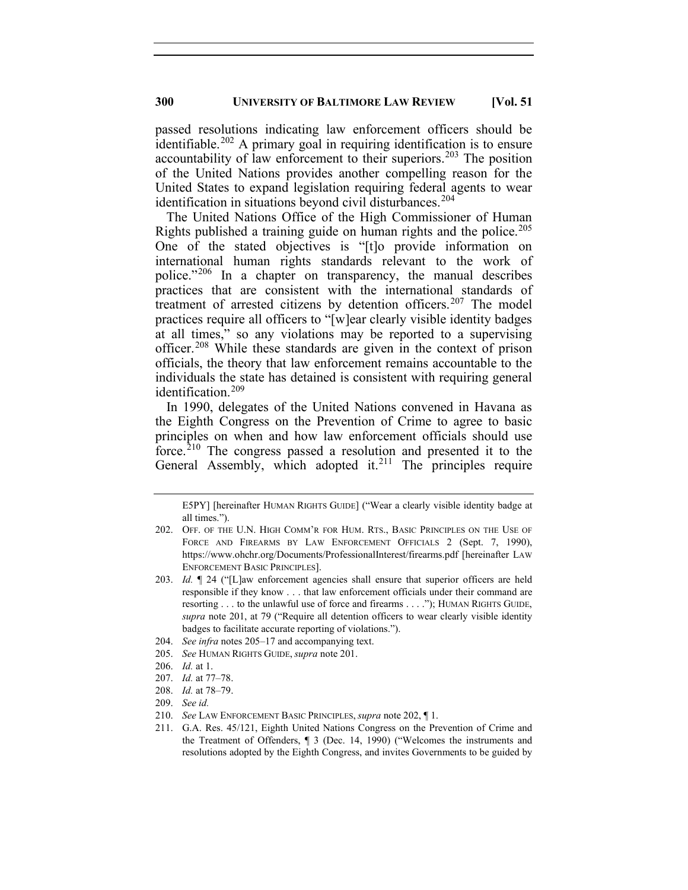passed resolutions indicating law enforcement officers should be identifiable.<sup>[202](#page-26-0)</sup> A primary goal in requiring identification is to ensure accountability of law enforcement to their superiors.<sup>[203](#page-26-1)</sup> The position of the United Nations provides another compelling reason for the United States to expand legislation requiring federal agents to wear identification in situations beyond civil disturbances.<sup>[204](#page-26-2)</sup>

The United Nations Office of the High Commissioner of Human Rights published a training guide on human rights and the police.<sup>[205](#page-26-3)</sup> One of the stated objectives is "[t]o provide information on international human rights standards relevant to the work of police."[206](#page-26-4) In a chapter on transparency, the manual describes practices that are consistent with the international standards of treatment of arrested citizens by detention officers.<sup>[207](#page-26-5)</sup> The model practices require all officers to "[w]ear clearly visible identity badges at all times," so any violations may be reported to a supervising officer.[208](#page-26-6) While these standards are given in the context of prison officials, the theory that law enforcement remains accountable to the individuals the state has detained is consistent with requiring general identification. [209](#page-26-7)

In 1990, delegates of the United Nations convened in Havana as the Eighth Congress on the Prevention of Crime to agree to basic principles on when and how law enforcement officials should use force.[210](#page-26-8) The congress passed a resolution and presented it to the General Assembly, which adopted it.<sup>[211](#page-26-9)</sup> The principles require

- <span id="page-26-2"></span>204. *See infra* notes 205–17 and accompanying text.
- <span id="page-26-3"></span>205. *See* HUMAN RIGHTS GUIDE, *supra* note 201.
- 206. *Id.* at 1.
- <span id="page-26-5"></span><span id="page-26-4"></span>207. *Id.* at 77–78.
- <span id="page-26-7"></span><span id="page-26-6"></span>208. *Id.* at 78–79.
- 209. *See id.*
- <span id="page-26-9"></span><span id="page-26-8"></span>210. *See* LAW ENFORCEMENT BASIC PRINCIPLES, *supra* note 202, ¶ 1.

E5PY] [hereinafter HUMAN RIGHTS GUIDE] ("Wear a clearly visible identity badge at all times.").

<span id="page-26-0"></span><sup>202.</sup> OFF. OF THE U.N. HIGH COMM'R FOR HUM. RTS., BASIC PRINCIPLES ON THE USE OF FORCE AND FIREARMS BY LAW ENFORCEMENT OFFICIALS 2 (Sept. 7, 1990), https://www.ohchr.org/Documents/ProfessionalInterest/firearms.pdf [hereinafter LAW ENFORCEMENT BASIC PRINCIPLES].

<span id="page-26-1"></span><sup>203.</sup> *Id.* ¶ 24 ("[L]aw enforcement agencies shall ensure that superior officers are held responsible if they know . . . that law enforcement officials under their command are resorting . . . to the unlawful use of force and firearms . . . ."); HUMAN RIGHTS GUIDE, *supra* note 201, at 79 ("Require all detention officers to wear clearly visible identity badges to facilitate accurate reporting of violations.").

<sup>211.</sup> G.A. Res. 45/121, Eighth United Nations Congress on the Prevention of Crime and the Treatment of Offenders, ¶ 3 (Dec. 14, 1990) ("Welcomes the instruments and resolutions adopted by the Eighth Congress, and invites Governments to be guided by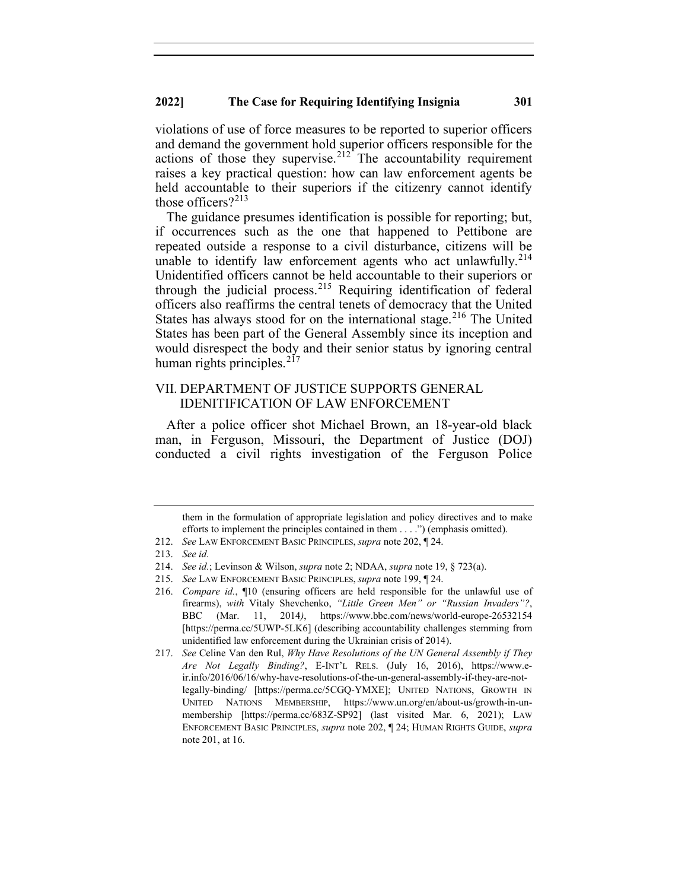violations of use of force measures to be reported to superior officers and demand the government hold superior officers responsible for the actions of those they supervise. $212$  The accountability requirement raises a key practical question: how can law enforcement agents be held accountable to their superiors if the citizenry cannot identify those officers? $2^{213}$  $2^{213}$  $2^{213}$ 

The guidance presumes identification is possible for reporting; but, if occurrences such as the one that happened to Pettibone are repeated outside a response to a civil disturbance, citizens will be unable to identify law enforcement agents who act unlawfully.<sup>[214](#page-27-2)</sup> Unidentified officers cannot be held accountable to their superiors or through the judicial process.<sup>[215](#page-27-3)</sup> Requiring identification of federal officers also reaffirms the central tenets of democracy that the United States has always stood for on the international stage.<sup>[216](#page-27-4)</sup> The United States has been part of the General Assembly since its inception and would disrespect the body and their senior status by ignoring central human rights principles. $217$ 

## VII. DEPARTMENT OF JUSTICE SUPPORTS GENERAL IDENITIFICATION OF LAW ENFORCEMENT

After a police officer shot Michael Brown, an 18-year-old black man, in Ferguson, Missouri, the Department of Justice (DOJ) conducted a civil rights investigation of the Ferguson Police

them in the formulation of appropriate legislation and policy directives and to make efforts to implement the principles contained in them . . . .") (emphasis omitted).

<span id="page-27-1"></span><span id="page-27-0"></span><sup>212.</sup> *See* LAW ENFORCEMENT BASIC PRINCIPLES, *supra* note 202, ¶ 24.

<sup>213.</sup> *See id.*

<span id="page-27-2"></span><sup>214.</sup> *See id.*; Levinson & Wilson, *supra* note 2; NDAA, *supra* note 19, § 723(a).

<span id="page-27-3"></span><sup>215.</sup> *See* LAW ENFORCEMENT BASIC PRINCIPLES, *supra* note 199, ¶ 24.

<span id="page-27-4"></span><sup>216.</sup> *Compare id.*, ¶10 (ensuring officers are held responsible for the unlawful use of firearms), *with* Vitaly Shevchenko, *"Little Green Men" or "Russian Invaders"?*, BBC (Mar. 11, 2014*)*, https://www.bbc.com/news/world-europe-26532154 [https://perma.cc/5UWP-5LK6] (describing accountability challenges stemming from unidentified law enforcement during the Ukrainian crisis of 2014).

<span id="page-27-5"></span><sup>217.</sup> *See* Celine Van den Rul, *Why Have Resolutions of the UN General Assembly if They Are Not Legally Binding?*, E-INT'L RELS. (July 16, 2016), https://www.eir.info/2016/06/16/why-have-resolutions-of-the-un-general-assembly-if-they-are-notlegally-binding/ [https://perma.cc/5CGQ-YMXE]; UNITED NATIONS, GROWTH IN UNITED NATIONS MEMBERSHIP, https://www.un.org/en/about-us/growth-in-unmembership [https://perma.cc/683Z-SP92] (last visited Mar. 6, 2021); LAW ENFORCEMENT BASIC PRINCIPLES, *supra* note 202, ¶ 24; HUMAN RIGHTS GUIDE, *supra* note 201, at 16.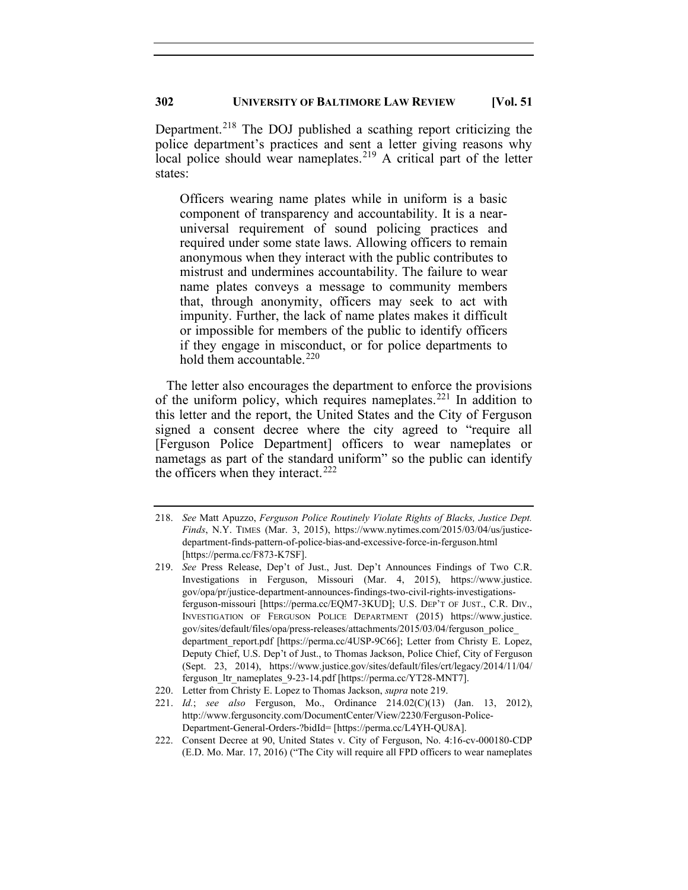Department.<sup>[218](#page-28-0)</sup> The DOJ published a scathing report criticizing the police department's practices and sent a letter giving reasons why local police should wear nameplates.<sup>[219](#page-28-1)</sup> A critical part of the letter states:

Officers wearing name plates while in uniform is a basic component of transparency and accountability. It is a nearuniversal requirement of sound policing practices and required under some state laws. Allowing officers to remain anonymous when they interact with the public contributes to mistrust and undermines accountability. The failure to wear name plates conveys a message to community members that, through anonymity, officers may seek to act with impunity. Further, the lack of name plates makes it difficult or impossible for members of the public to identify officers if they engage in misconduct, or for police departments to hold them accountable.  $220$ 

The letter also encourages the department to enforce the provisions of the uniform policy, which requires nameplates.<sup>[221](#page-28-3)</sup> In addition to this letter and the report, the United States and the City of Ferguson signed a consent decree where the city agreed to "require all [Ferguson Police Department] officers to wear nameplates or nametags as part of the standard uniform" so the public can identify the officers when they interact.  $222$ 

<span id="page-28-0"></span><sup>218.</sup> *See* Matt Apuzzo, *Ferguson Police Routinely Violate Rights of Blacks, Justice Dept. Finds*, N.Y. TIMES (Mar. 3, 2015), https://www.nytimes.com/2015/03/04/us/justicedepartment-finds-pattern-of-police-bias-and-excessive-force-in-ferguson.html [https://perma.cc/F873-K7SF].

<span id="page-28-1"></span><sup>219.</sup> *See* Press Release, Dep't of Just., Just. Dep't Announces Findings of Two C.R. Investigations in Ferguson, Missouri (Mar. 4, 2015), https://www.justice. gov/opa/pr/justice-department-announces-findings-two-civil-rights-investigationsferguson-missouri [https://perma.cc/EQM7-3KUD]; U.S. DEP'T OF JUST., C.R. DIV., INVESTIGATION OF FERGUSON POLICE DEPARTMENT (2015) https://www.justice. gov/sites/default/files/opa/press-releases/attachments/2015/03/04/ferguson\_police\_ department\_report.pdf [https://perma.cc/4USP-9C66]; Letter from Christy E. Lopez, Deputy Chief, U.S. Dep't of Just., to Thomas Jackson, Police Chief, City of Ferguson (Sept. 23, 2014), https://www.justice.gov/sites/default/files/crt/legacy/2014/11/04/ ferguson\_ltr\_nameplates\_9-23-14.pdf [https://perma.cc/YT28-MNT7].

<span id="page-28-2"></span><sup>220.</sup> Letter from Christy E. Lopez to Thomas Jackson, *supra* note 219.

<span id="page-28-3"></span><sup>221.</sup> *Id.*; *see also* Ferguson, Mo., Ordinance 214.02(C)(13) (Jan. 13, 2012), http://www.fergusoncity.com/DocumentCenter/View/2230/Ferguson-Police-Department-General-Orders-?bidId= [https://perma.cc/L4YH-QU8A].

<span id="page-28-4"></span><sup>222.</sup> Consent Decree at 90, United States v. City of Ferguson, No. 4:16-cv-000180-CDP (E.D. Mo. Mar. 17, 2016) ("The City will require all FPD officers to wear nameplates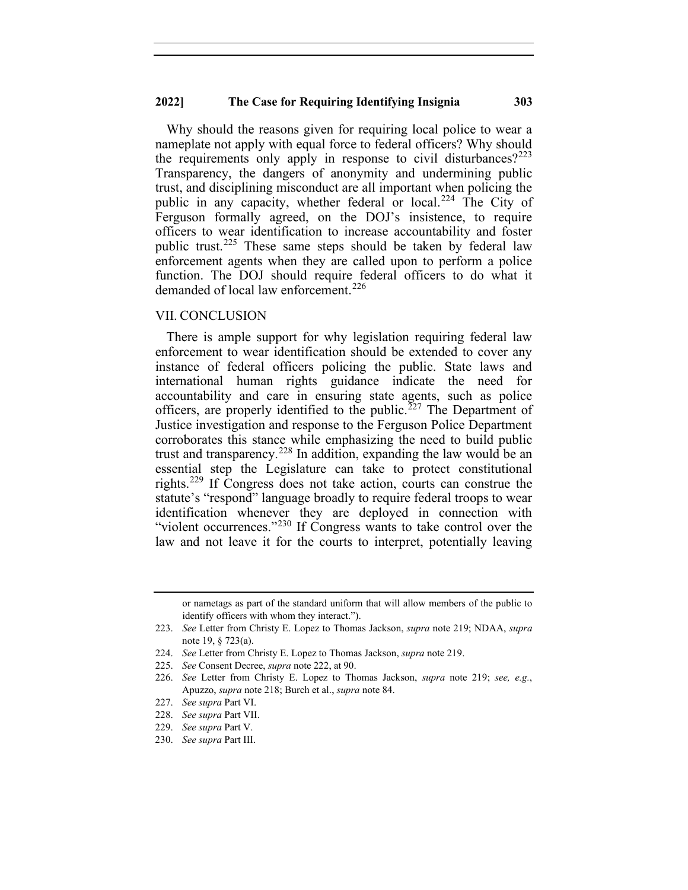Why should the reasons given for requiring local police to wear a nameplate not apply with equal force to federal officers? Why should the requirements only apply in response to civil disturbances?  $2^{223}$  $2^{223}$  $2^{223}$ Transparency, the dangers of anonymity and undermining public trust, and disciplining misconduct are all important when policing the public in any capacity, whether federal or local.<sup>[224](#page-29-1)</sup> The City of Ferguson formally agreed, on the DOJ's insistence, to require officers to wear identification to increase accountability and foster public trust.<sup>[225](#page-29-2)</sup> These same steps should be taken by federal law enforcement agents when they are called upon to perform a police function. The DOJ should require federal officers to do what it demanded of local law enforcement.<sup>[226](#page-29-3)</sup>

#### VII. CONCLUSION

There is ample support for why legislation requiring federal law enforcement to wear identification should be extended to cover any instance of federal officers policing the public. State laws and international human rights guidance indicate the need for accountability and care in ensuring state agents, such as police officers, are properly identified to the public.<sup>[227](#page-29-4)</sup> The Department of Justice investigation and response to the Ferguson Police Department corroborates this stance while emphasizing the need to build public trust and transparency.<sup>[228](#page-29-5)</sup> In addition, expanding the law would be an essential step the Legislature can take to protect constitutional rights.[229](#page-29-6) If Congress does not take action, courts can construe the statute's "respond" language broadly to require federal troops to wear identification whenever they are deployed in connection with "violent occurrences."<sup>[230](#page-29-7)</sup> If Congress wants to take control over the law and not leave it for the courts to interpret, potentially leaving

229. *See supra* Part V.

or nametags as part of the standard uniform that will allow members of the public to identify officers with whom they interact.").

<span id="page-29-0"></span><sup>223.</sup> *See* Letter from Christy E. Lopez to Thomas Jackson, *supra* note 219; NDAA, *supra* note 19, § 723(a).

<span id="page-29-1"></span><sup>224.</sup> *See* Letter from Christy E. Lopez to Thomas Jackson, *supra* note 219.

<span id="page-29-2"></span><sup>225.</sup> *See* Consent Decree, *supra* note 222, at 90.

<span id="page-29-3"></span><sup>226.</sup> *See* Letter from Christy E. Lopez to Thomas Jackson, *supra* note 219; *see, e.g.*, Apuzzo, *supra* note 218; Burch et al., *supra* note 84.

<span id="page-29-5"></span><span id="page-29-4"></span><sup>227.</sup> *See supra* Part VI.

<sup>228.</sup> *See supra* Part VII.

<span id="page-29-7"></span><span id="page-29-6"></span><sup>230.</sup> *See supra* Part III.